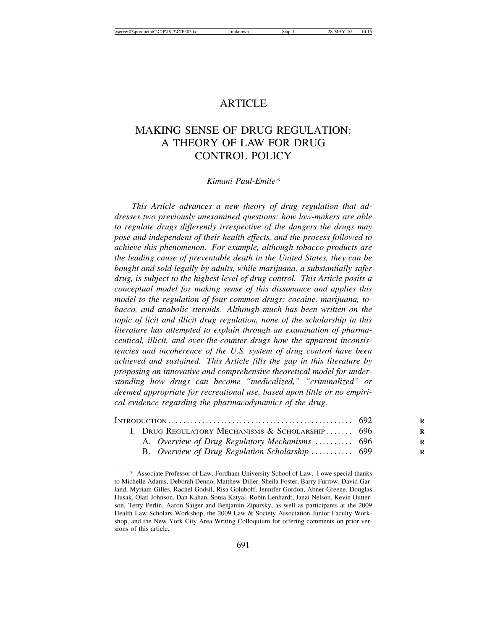# **ARTICLE**

# MAKING SENSE OF DRUG REGULATION: A THEORY OF LAW FOR DRUG CONTROL POLICY

#### *Kimani Paul-Emile\**

*This Article advances a new theory of drug regulation that addresses two previously unexamined questions: how law-makers are able to regulate drugs differently irrespective of the dangers the drugs may pose and independent of their health effects, and the process followed to achieve this phenomenon. For example, although tobacco products are the leading cause of preventable death in the United States, they can be bought and sold legally by adults, while marijuana, a substantially safer drug, is subject to the highest level of drug control. This Article posits a conceptual model for making sense of this dissonance and applies this model to the regulation of four common drugs: cocaine, marijuana, tobacco, and anabolic steroids. Although much has been written on the topic of licit and illicit drug regulation, none of the scholarship in this literature has attempted to explain through an examination of pharmaceutical, illicit, and over-the-counter drugs how the apparent inconsistencies and incoherence of the U.S. system of drug control have been achieved and sustained. This Article fills the gap in this literature by proposing an innovative and comprehensive theoretical model for understanding how drugs can become "medicalized," "criminalized" or deemed appropriate for recreational use, based upon little or no empirical evidence regarding the pharmacodynamics of the drug.*

| I. DRUG REGULATORY MECHANISMS & SCHOLARSHIP 696 |  |
|-------------------------------------------------|--|
|                                                 |  |
|                                                 |  |

<sup>\*</sup> Associate Professor of Law, Fordham University School of Law. I owe special thanks to Michelle Adams, Deborah Denno, Matthew Diller, Sheila Foster, Barry Furrow, David Garland, Myriam Gilles, Rachel Godsil, Risa Goluboff, Jennifer Gordon, Abner Greene, Douglas Husak, Olati Johnson, Dan Kahan, Sonia Katyal, Robin Lenhardt, Janai Nelson, Kevin Outterson, Terry Perlin, Aaron Saiger and Benjamin Zipursky, as well as participants at the 2009 Health Law Scholars Workshop, the 2009 Law & Society Association Junior Faculty Workshop, and the New York City Area Writing Colloquium for offering comments on prior versions of this article.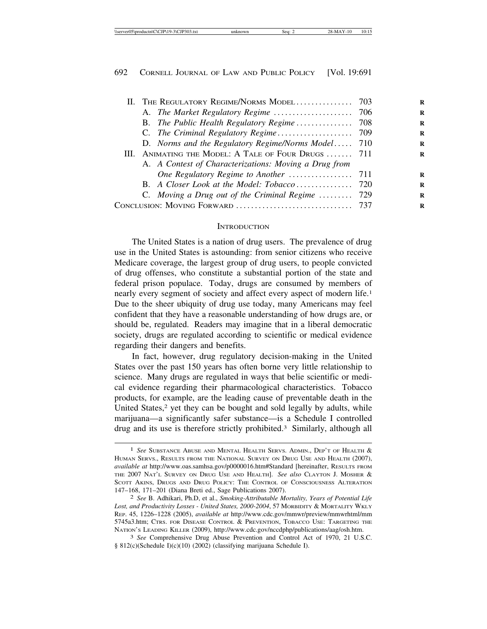| D. Norms and the Regulatory Regime/Norms Model 710    |  |
|-------------------------------------------------------|--|
| III. ANIMATING THE MODEL: A TALE OF FOUR DRUGS  711   |  |
| A. A Contest of Characterizations: Moving a Drug from |  |
|                                                       |  |
|                                                       |  |
| C. Moving a Drug out of the Criminal Regime  729      |  |
|                                                       |  |

#### **INTRODUCTION**

The United States is a nation of drug users. The prevalence of drug use in the United States is astounding: from senior citizens who receive Medicare coverage, the largest group of drug users, to people convicted of drug offenses, who constitute a substantial portion of the state and federal prison populace. Today, drugs are consumed by members of nearly every segment of society and affect every aspect of modern life.<sup>1</sup> Due to the sheer ubiquity of drug use today, many Americans may feel confident that they have a reasonable understanding of how drugs are, or should be, regulated. Readers may imagine that in a liberal democratic society, drugs are regulated according to scientific or medical evidence regarding their dangers and benefits.

In fact, however, drug regulatory decision-making in the United States over the past 150 years has often borne very little relationship to science. Many drugs are regulated in ways that belie scientific or medical evidence regarding their pharmacological characteristics. Tobacco products, for example, are the leading cause of preventable death in the United States,<sup>2</sup> yet they can be bought and sold legally by adults, while marijuana—a significantly safer substance—is a Schedule I controlled drug and its use is therefore strictly prohibited.3 Similarly, although all

<sup>1</sup> *See* SUBSTANCE ABUSE AND MENTAL HEALTH SERVS. ADMIN., DEP'T OF HEALTH & HUMAN SERVS., RESULTS FROM THE NATIONAL SURVEY ON DRUG USE AND HEALTH (2007), *available at* http://www.oas.samhsa.gov/p0000016.htm#Standard [hereinafter, RESULTS FROM THE 2007 NAT'L SURVEY ON DRUG USE AND HEALTH]. *See also* CLAYTON J. MOSHER & SCOTT AKINS, DRUGS AND DRUG POLICY: THE CONTROL OF CONSCIOUSNESS ALTERATION 147–168, 171–201 (Diana Breti ed., Sage Publications 2007). <sup>2</sup> *See* B. Adhikari, Ph.D, et al., *Smoking-Attributable Mortality, Years of Potential Life*

*Lost, and Productivity Losses - United States, 2000-2004*, 57 MORBIDITY & MORTALITY WKLY REP. 45, 1226–1228 (2005), *available at* http://www.cdc.gov/mmwr/preview/mmwrhtml/mm 5745a3.htm; CTRS. FOR DISEASE CONTROL & PREVENTION, TOBACCO USE: TARGETING THE NATION'S LEADING KILLER (2009), http://www.cdc.gov/nccdphp/publications/aag/osh.htm. <sup>3</sup> *See* Comprehensive Drug Abuse Prevention and Control Act of 1970, 21 U.S.C.

<sup>§ 812(</sup>c)(Schedule I)(c)(10) (2002) (classifying marijuana Schedule I).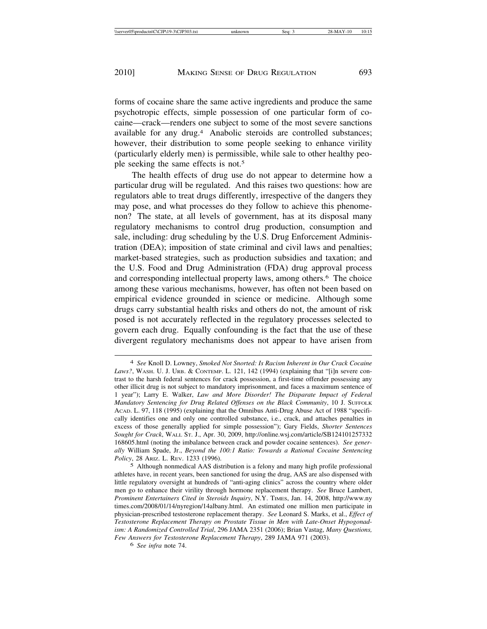forms of cocaine share the same active ingredients and produce the same psychotropic effects, simple possession of one particular form of cocaine—crack—renders one subject to some of the most severe sanctions available for any drug.4 Anabolic steroids are controlled substances; however, their distribution to some people seeking to enhance virility (particularly elderly men) is permissible, while sale to other healthy people seeking the same effects is not.5

The health effects of drug use do not appear to determine how a particular drug will be regulated. And this raises two questions: how are regulators able to treat drugs differently, irrespective of the dangers they may pose, and what processes do they follow to achieve this phenomenon? The state, at all levels of government, has at its disposal many regulatory mechanisms to control drug production, consumption and sale, including: drug scheduling by the U.S. Drug Enforcement Administration (DEA); imposition of state criminal and civil laws and penalties; market-based strategies, such as production subsidies and taxation; and the U.S. Food and Drug Administration (FDA) drug approval process and corresponding intellectual property laws, among others.6 The choice among these various mechanisms, however, has often not been based on empirical evidence grounded in science or medicine. Although some drugs carry substantial health risks and others do not, the amount of risk posed is not accurately reflected in the regulatory processes selected to govern each drug. Equally confounding is the fact that the use of these divergent regulatory mechanisms does not appear to have arisen from

<sup>4</sup> *See* Knoll D. Lowney, *Smoked Not Snorted: Is Racism Inherent in Our Crack Cocaine* Laws?, WASH. U. J. URB. & CONTEMP. L. 121, 142 (1994) (explaining that "[i]n severe contrast to the harsh federal sentences for crack possession, a first-time offender possessing any other illicit drug is not subject to mandatory imprisonment, and faces a maximum sentence of 1 year"); Larry E. Walker, *Law and More Disorder! The Disparate Impact of Federal Mandatory Sentencing for Drug Related Offenses on the Black Community*, 10 J. SUFFOLK ACAD. L. 97, 118 (1995) (explaining that the Omnibus Anti-Drug Abuse Act of 1988 "specifically identifies one and only one controlled substance, i.e., crack, and attaches penalties in excess of those generally applied for simple possession"); Gary Fields, *Shorter Sentences Sought for Crack*, WALL ST. J., Apr. 30, 2009, http://online.wsj.com/article/SB124101257332 168605.html (noting the imbalance between crack and powder cocaine sentences). *See generally* William Spade, Jr., *Beyond the 100:1 Ratio: Towards a Rational Cocaine Sentencing Policy*, 28 ARIZ. L. REV. 1233 (1996).

<sup>5</sup> Although nonmedical AAS distribution is a felony and many high profile professional athletes have, in recent years, been sanctioned for using the drug, AAS are also dispensed with little regulatory oversight at hundreds of "anti-aging clinics" across the country where older men go to enhance their virility through hormone replacement therapy. *See* Bruce Lambert, *Prominent Entertainers Cited in Steroids Inquiry*, N.Y. TIMES, Jan. 14, 2008, http://www.ny times.com/2008/01/14/nyregion/14albany.html. An estimated one million men participate in physician-prescribed testosterone replacement therapy. *See* Leonard S. Marks, et al., *Effect of Testosterone Replacement Therapy on Prostate Tissue in Men with Late-Onset Hypogonadism: A Randomized Controlled Trial*, 296 JAMA 2351 (2006); Brian Vastag, *Many Questions, Few Answers for Testosterone Replacement Therapy*, 289 JAMA 971 (2003).

<sup>6</sup> *See infra* note 74.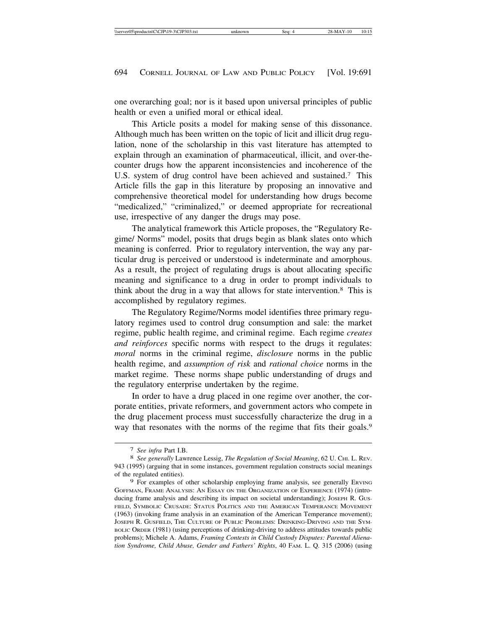one overarching goal; nor is it based upon universal principles of public health or even a unified moral or ethical ideal.

This Article posits a model for making sense of this dissonance. Although much has been written on the topic of licit and illicit drug regulation, none of the scholarship in this vast literature has attempted to explain through an examination of pharmaceutical, illicit, and over-thecounter drugs how the apparent inconsistencies and incoherence of the U.S. system of drug control have been achieved and sustained.7 This Article fills the gap in this literature by proposing an innovative and comprehensive theoretical model for understanding how drugs become "medicalized," "criminalized," or deemed appropriate for recreational use, irrespective of any danger the drugs may pose.

The analytical framework this Article proposes, the "Regulatory Regime/ Norms" model, posits that drugs begin as blank slates onto which meaning is conferred. Prior to regulatory intervention, the way any particular drug is perceived or understood is indeterminate and amorphous. As a result, the project of regulating drugs is about allocating specific meaning and significance to a drug in order to prompt individuals to think about the drug in a way that allows for state intervention.8 This is accomplished by regulatory regimes.

The Regulatory Regime/Norms model identifies three primary regulatory regimes used to control drug consumption and sale: the market regime, public health regime, and criminal regime. Each regime *creates and reinforces* specific norms with respect to the drugs it regulates: *moral* norms in the criminal regime, *disclosure* norms in the public health regime, and *assumption of risk* and *rational choice* norms in the market regime. These norms shape public understanding of drugs and the regulatory enterprise undertaken by the regime.

In order to have a drug placed in one regime over another, the corporate entities, private reformers, and government actors who compete in the drug placement process must successfully characterize the drug in a way that resonates with the norms of the regime that fits their goals.<sup>9</sup>

<sup>7</sup> *See infra* Part I.B. <sup>8</sup> *See generally* Lawrence Lessig, *The Regulation of Social Meaning*, 62 U. CHI. L. REV. 943 (1995) (arguing that in some instances, government regulation constructs social meanings of the regulated entities).

<sup>9</sup> For examples of other scholarship employing frame analysis, see generally ERVING GOFFMAN, FRAME ANALYSIS: AN ESSAY ON THE ORGANIZATION OF EXPERIENCE (1974) (introducing frame analysis and describing its impact on societal understanding); JOSEPH R. GUS-FIELD, SYMBOLIC CRUSADE: STATUS POLITICS AND THE AMERICAN TEMPERANCE MOVEMENT (1963) (invoking frame analysis in an examination of the American Temperance movement); JOSEPH R. GUSFIELD, THE CULTURE OF PUBLIC PROBLEMS: DRINKING-DRIVING AND THE SYM-BOLIC ORDER (1981) (using perceptions of drinking-driving to address attitudes towards public problems); Michele A. Adams, *Framing Contests in Child Custody Disputes: Parental Alienation Syndrome, Child Abuse, Gender and Fathers' Rights*, 40 FAM. L. Q. 315 (2006) (using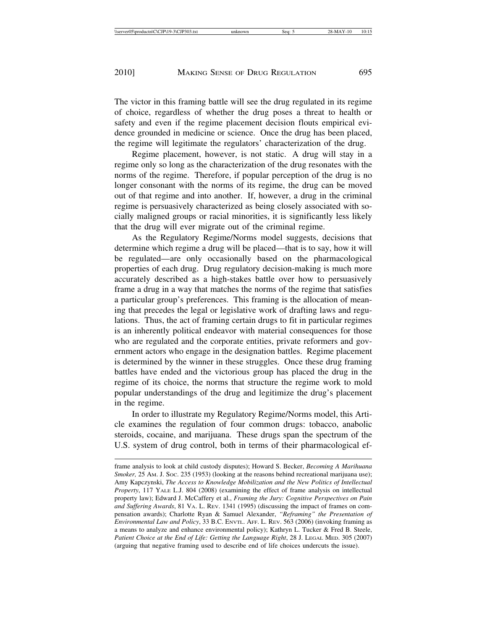The victor in this framing battle will see the drug regulated in its regime of choice, regardless of whether the drug poses a threat to health or safety and even if the regime placement decision flouts empirical evidence grounded in medicine or science. Once the drug has been placed, the regime will legitimate the regulators' characterization of the drug.

Regime placement, however, is not static. A drug will stay in a regime only so long as the characterization of the drug resonates with the norms of the regime. Therefore, if popular perception of the drug is no longer consonant with the norms of its regime, the drug can be moved out of that regime and into another. If, however, a drug in the criminal regime is persuasively characterized as being closely associated with socially maligned groups or racial minorities, it is significantly less likely that the drug will ever migrate out of the criminal regime.

As the Regulatory Regime/Norms model suggests, decisions that determine which regime a drug will be placed—that is to say, how it will be regulated—are only occasionally based on the pharmacological properties of each drug. Drug regulatory decision-making is much more accurately described as a high-stakes battle over how to persuasively frame a drug in a way that matches the norms of the regime that satisfies a particular group's preferences. This framing is the allocation of meaning that precedes the legal or legislative work of drafting laws and regulations. Thus, the act of framing certain drugs to fit in particular regimes is an inherently political endeavor with material consequences for those who are regulated and the corporate entities, private reformers and government actors who engage in the designation battles. Regime placement is determined by the winner in these struggles. Once these drug framing battles have ended and the victorious group has placed the drug in the regime of its choice, the norms that structure the regime work to mold popular understandings of the drug and legitimize the drug's placement in the regime.

In order to illustrate my Regulatory Regime/Norms model, this Article examines the regulation of four common drugs: tobacco, anabolic steroids, cocaine, and marijuana. These drugs span the spectrum of the U.S. system of drug control, both in terms of their pharmacological ef-

frame analysis to look at child custody disputes); Howard S. Becker, *Becoming A Marihuana* Smoker, 25 Am. J. Soc. 235 (1953) (looking at the reasons behind recreational marijuana use); Amy Kapczynski, *The Access to Knowledge Mobilization and the New Politics of Intellectual Property*, 117 YALE L.J. 804 (2008) (examining the effect of frame analysis on intellectual property law); Edward J. McCaffery et al., *Framing the Jury: Cognitive Perspectives on Pain and Suffering Awards*, 81 VA. L. REV. 1341 (1995) (discussing the impact of frames on compensation awards); Charlotte Ryan & Samuel Alexander, *"Reframing" the Presentation of Environmental Law and Policy*, 33 B.C. ENVTL. AFF. L. REV. 563 (2006) (invoking framing as a means to analyze and enhance environmental policy); Kathryn L. Tucker & Fred B. Steele, *Patient Choice at the End of Life: Getting the Language Right*, 28 J. LEGAL MED. 305 (2007) (arguing that negative framing used to describe end of life choices undercuts the issue).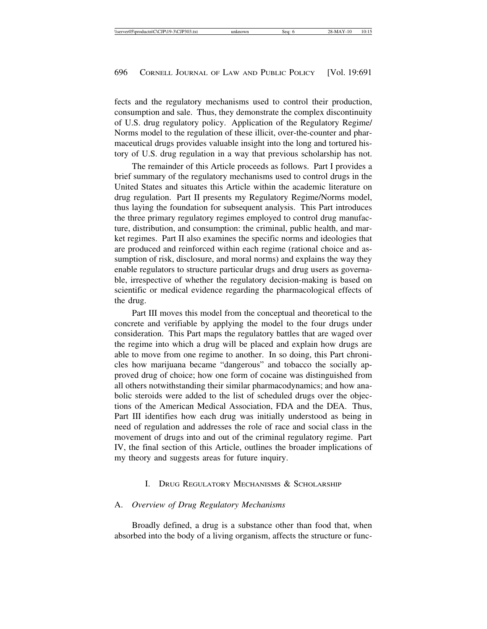fects and the regulatory mechanisms used to control their production, consumption and sale. Thus, they demonstrate the complex discontinuity of U.S. drug regulatory policy. Application of the Regulatory Regime/ Norms model to the regulation of these illicit, over-the-counter and pharmaceutical drugs provides valuable insight into the long and tortured history of U.S. drug regulation in a way that previous scholarship has not.

The remainder of this Article proceeds as follows. Part I provides a brief summary of the regulatory mechanisms used to control drugs in the United States and situates this Article within the academic literature on drug regulation. Part II presents my Regulatory Regime/Norms model, thus laying the foundation for subsequent analysis. This Part introduces the three primary regulatory regimes employed to control drug manufacture, distribution, and consumption: the criminal, public health, and market regimes. Part II also examines the specific norms and ideologies that are produced and reinforced within each regime (rational choice and assumption of risk, disclosure, and moral norms) and explains the way they enable regulators to structure particular drugs and drug users as governable, irrespective of whether the regulatory decision-making is based on scientific or medical evidence regarding the pharmacological effects of the drug.

Part III moves this model from the conceptual and theoretical to the concrete and verifiable by applying the model to the four drugs under consideration. This Part maps the regulatory battles that are waged over the regime into which a drug will be placed and explain how drugs are able to move from one regime to another. In so doing, this Part chronicles how marijuana became "dangerous" and tobacco the socially approved drug of choice; how one form of cocaine was distinguished from all others notwithstanding their similar pharmacodynamics; and how anabolic steroids were added to the list of scheduled drugs over the objections of the American Medical Association, FDA and the DEA. Thus, Part III identifies how each drug was initially understood as being in need of regulation and addresses the role of race and social class in the movement of drugs into and out of the criminal regulatory regime. Part IV, the final section of this Article, outlines the broader implications of my theory and suggests areas for future inquiry.

## I. DRUG REGULATORY MECHANISMS & SCHOLARSHIP

## A. *Overview of Drug Regulatory Mechanisms*

Broadly defined, a drug is a substance other than food that, when absorbed into the body of a living organism, affects the structure or func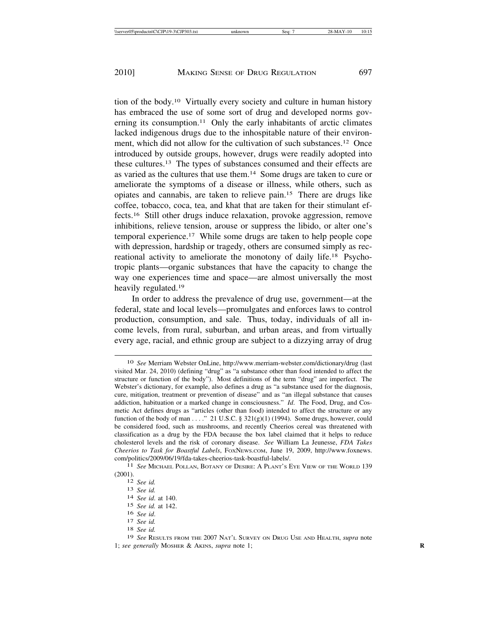tion of the body.10 Virtually every society and culture in human history has embraced the use of some sort of drug and developed norms governing its consumption.<sup>11</sup> Only the early inhabitants of arctic climates lacked indigenous drugs due to the inhospitable nature of their environment, which did not allow for the cultivation of such substances.<sup>12</sup> Once introduced by outside groups, however, drugs were readily adopted into these cultures.13 The types of substances consumed and their effects are as varied as the cultures that use them.14 Some drugs are taken to cure or ameliorate the symptoms of a disease or illness, while others, such as opiates and cannabis, are taken to relieve pain.15 There are drugs like coffee, tobacco, coca, tea, and khat that are taken for their stimulant effects.16 Still other drugs induce relaxation, provoke aggression, remove inhibitions, relieve tension, arouse or suppress the libido, or alter one's temporal experience.17 While some drugs are taken to help people cope with depression, hardship or tragedy, others are consumed simply as recreational activity to ameliorate the monotony of daily life.18 Psychotropic plants—organic substances that have the capacity to change the way one experiences time and space—are almost universally the most heavily regulated.19

In order to address the prevalence of drug use, government—at the federal, state and local levels—promulgates and enforces laws to control production, consumption, and sale. Thus, today, individuals of all income levels, from rural, suburban, and urban areas, and from virtually every age, racial, and ethnic group are subject to a dizzying array of drug

(2001). <sup>12</sup> *See id.* <sup>13</sup> *See id.* <sup>14</sup> *See id*. at 140.

<sup>10</sup> *See* Merriam Webster OnLine, http://www.merriam-webster.com/dictionary/drug (last visited Mar. 24, 2010) (defining "drug" as "a substance other than food intended to affect the structure or function of the body"). Most definitions of the term "drug" are imperfect. The Webster's dictionary, for example, also defines a drug as "a substance used for the diagnosis, cure, mitigation, treatment or prevention of disease" and as "an illegal substance that causes addiction, habituation or a marked change in consciousness." *Id*. The Food, Drug, and Cosmetic Act defines drugs as "articles (other than food) intended to affect the structure or any function of the body of man  $\dots$ ." 21 U.S.C. § 321(g)(1) (1994). Some drugs, however, could be considered food, such as mushrooms, and recently Cheerios cereal was threatened with classification as a drug by the FDA because the box label claimed that it helps to reduce cholesterol levels and the risk of coronary disease. *See* William La Jeunesse, *FDA Takes Cheerios to Task for Boastful Labels*, FOXNEWS.COM, June 19, 2009, http://www.foxnews. com/politics/2009/06/19/fda-takes-cheerios-task-boastful-labels/. <sup>11</sup> *See* MICHAEL POLLAN, BOTANY OF DESIRE: A PLANT'S EYE VIEW OF THE WORLD 139

<sup>15</sup> *See id.* at 142.

<sup>16</sup> *See id*. <sup>17</sup> *See id.* <sup>18</sup> *See id.*

<sup>19</sup> *See* RESULTS FROM THE 2007 NAT'L SURVEY ON DRUG USE AND HEALTH, *supra* note 1; see generally Mosher & Akins, supra note 1;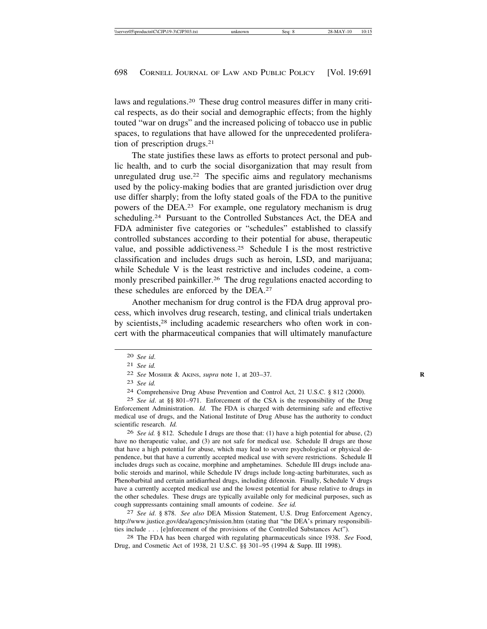laws and regulations.20 These drug control measures differ in many critical respects, as do their social and demographic effects; from the highly touted "war on drugs" and the increased policing of tobacco use in public spaces, to regulations that have allowed for the unprecedented proliferation of prescription drugs.<sup>21</sup>

The state justifies these laws as efforts to protect personal and public health, and to curb the social disorganization that may result from unregulated drug use.22 The specific aims and regulatory mechanisms used by the policy-making bodies that are granted jurisdiction over drug use differ sharply; from the lofty stated goals of the FDA to the punitive powers of the DEA.23 For example, one regulatory mechanism is drug scheduling.<sup>24</sup> Pursuant to the Controlled Substances Act, the DEA and FDA administer five categories or "schedules" established to classify controlled substances according to their potential for abuse, therapeutic value, and possible addictiveness.25 Schedule I is the most restrictive classification and includes drugs such as heroin, LSD, and marijuana; while Schedule V is the least restrictive and includes codeine, a commonly prescribed painkiller.26 The drug regulations enacted according to these schedules are enforced by the DEA.27

Another mechanism for drug control is the FDA drug approval process, which involves drug research, testing, and clinical trials undertaken by scientists,28 including academic researchers who often work in concert with the pharmaceutical companies that will ultimately manufacture

25 *See id*. at §§ 801–971. Enforcement of the CSA is the responsibility of the Drug Enforcement Administration. *Id.* The FDA is charged with determining safe and effective medical use of drugs, and the National Institute of Drug Abuse has the authority to conduct scientific research. *Id.*

26 *See id.* § 812. Schedule I drugs are those that: (1) have a high potential for abuse, (2) have no therapeutic value, and (3) are not safe for medical use. Schedule II drugs are those that have a high potential for abuse, which may lead to severe psychological or physical dependence, but that have a currently accepted medical use with severe restrictions. Schedule II includes drugs such as cocaine, morphine and amphetamines. Schedule III drugs include anabolic steroids and marinol, while Schedule IV drugs include long-acting barbiturates, such as Phenobarbital and certain antidiarrheal drugs, including difenoxin. Finally, Schedule V drugs have a currently accepted medical use and the lowest potential for abuse relative to drugs in the other schedules. These drugs are typically available only for medicinal purposes, such as cough suppressants containing small amounts of codeine. *See id.*

27 *See id*. § 878. *See also* DEA Mission Statement, U.S. Drug Enforcement Agency, http://www.justice.gov/dea/agency/mission.htm (stating that "the DEA's primary responsibilities include . . . [e]nforcement of the provisions of the Controlled Substances Act").

28 The FDA has been charged with regulating pharmaceuticals since 1938. *See* Food, Drug, and Cosmetic Act of 1938, 21 U.S.C. §§ 301–95 (1994 & Supp. III 1998).

<sup>20</sup> *See id*.

<sup>21</sup> *See id.*

<sup>22</sup> *See* MOSHER & AKINS, *supra* note 1, at 203–37. **R**

<sup>23</sup> *See id.*

<sup>24</sup> Comprehensive Drug Abuse Prevention and Control Act, 21 U.S.C. § 812 (2000).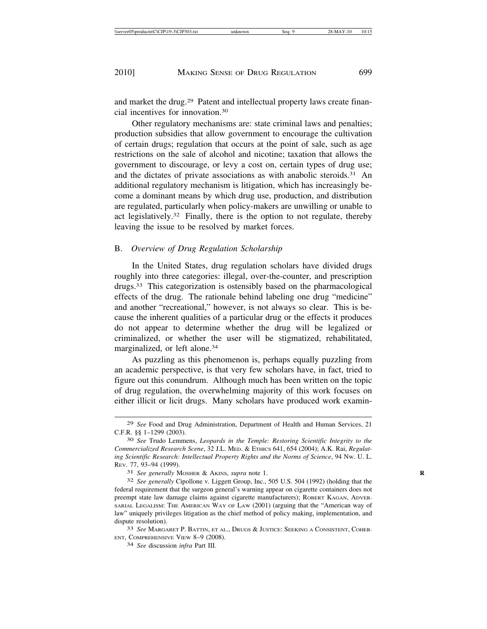Other regulatory mechanisms are: state criminal laws and penalties; production subsidies that allow government to encourage the cultivation of certain drugs; regulation that occurs at the point of sale, such as age restrictions on the sale of alcohol and nicotine; taxation that allows the government to discourage, or levy a cost on, certain types of drug use; and the dictates of private associations as with anabolic steroids.<sup>31</sup> An additional regulatory mechanism is litigation, which has increasingly become a dominant means by which drug use, production, and distribution are regulated, particularly when policy-makers are unwilling or unable to act legislatively.32 Finally, there is the option to not regulate, thereby leaving the issue to be resolved by market forces.

## B. *Overview of Drug Regulation Scholarship*

In the United States, drug regulation scholars have divided drugs roughly into three categories: illegal, over-the-counter, and prescription drugs.33 This categorization is ostensibly based on the pharmacological effects of the drug. The rationale behind labeling one drug "medicine" and another "recreational," however, is not always so clear. This is because the inherent qualities of a particular drug or the effects it produces do not appear to determine whether the drug will be legalized or criminalized, or whether the user will be stigmatized, rehabilitated, marginalized, or left alone.<sup>34</sup>

As puzzling as this phenomenon is, perhaps equally puzzling from an academic perspective, is that very few scholars have, in fact, tried to figure out this conundrum. Although much has been written on the topic of drug regulation, the overwhelming majority of this work focuses on either illicit or licit drugs. Many scholars have produced work examin-

<sup>29</sup> *See* Food and Drug Administration, Department of Health and Human Services, 21 C.F.R. §§ 1–1299 (2003).

<sup>30</sup> *See* Trudo Lemmens, *Leopards in the Temple: Restoring Scientific Integrity to the Commercialized Research Scene*, 32 J.L. MED. & ETHICS 641, 654 (2004); A.K. Rai, *Regulating Scientific Research: Intellectual Property Rights and the Norms of Science*, 94 NW. U. L. REV. 77, 93–94 (1999).

<sup>31</sup> *See generally* MOSHER & AKINS, *supra* note 1. **R**

<sup>32</sup> *See generally* Cipollone v. Liggett Group, Inc., 505 U.S. 504 (1992) (holding that the federal requirement that the surgeon general's warning appear on cigarette containers does not preempt state law damage claims against cigarette manufacturers); ROBERT KAGAN, ADVER-SARIAL LEGALISM: THE AMERICAN WAY OF LAW (2001) (arguing that the "American way of law" uniquely privileges litigation as the chief method of policy making, implementation, and dispute resolution). <sup>33</sup> *See* MARGARET P. BATTIN, ET AL., DRUGS & JUSTICE: SEEKING A CONSISTENT, COHER-

ENT, COMPREHENSIVE VIEW 8-9 (2008).

<sup>34</sup> *See* discussion *infra* Part III.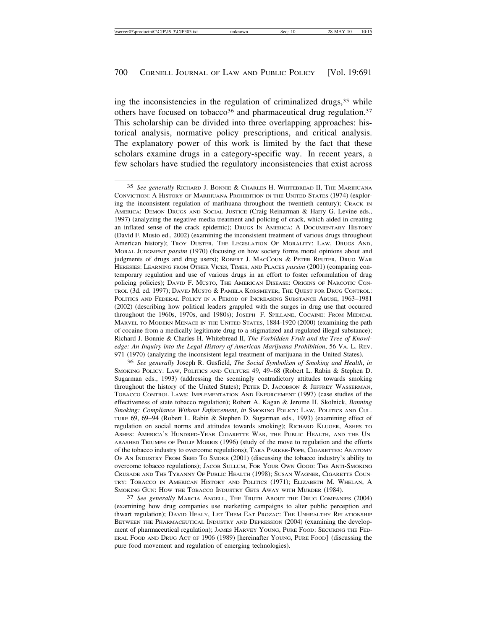ing the inconsistencies in the regulation of criminalized drugs,<sup>35</sup> while others have focused on tobacco<sup>36</sup> and pharmaceutical drug regulation.<sup>37</sup> This scholarship can be divided into three overlapping approaches: historical analysis, normative policy prescriptions, and critical analysis. The explanatory power of this work is limited by the fact that these scholars examine drugs in a category-specific way. In recent years, a few scholars have studied the regulatory inconsistencies that exist across

36 *See generally* Joseph R. Gusfield, *The Social Symbolism of Smoking and Health*, *in* SMOKING POLICY: LAW, POLITICS AND CULTURE 49, 49–68 (Robert L. Rabin & Stephen D. Sugarman eds., 1993) (addressing the seemingly contradictory attitudes towards smoking throughout the history of the United States); PETER D. JACOBSON & JEFFREY WASSERMAN, TOBACCO CONTROL LAWS: IMPLEMENTATION AND ENFORCEMENT (1997) (case studies of the effectiveness of state tobacco regulation); Robert A. Kagan & Jerome H. Skolnick, *Banning Smoking: Compliance Without Enforcement*, *in* SMOKING POLICY: LAW, POLITICS AND CUL-TURE 69, 69–94 (Robert L. Rabin & Stephen D. Sugarman eds., 1993) (examining effect of regulation on social norms and attitudes towards smoking); RICHARD KLUGER, ASHES TO ASHES: AMERICA'S HUNDRED-YEAR CIGARETTE WAR, THE PUBLIC HEALTH, AND THE UN-ABASHED TRIUMPH OF PHILIP MORRIS (1996) (study of the move to regulation and the efforts of the tobacco industry to overcome regulations); TARA PARKER-POPE, CIGARETTES: ANATOMY OF AN INDUSTRY FROM SEED TO SMOKE (2001) (discussing the tobacco industry's ability to overcome tobacco regulations); JACOB SULLUM, FOR YOUR OWN GOOD: THE ANTI-SMOKING CRUSADE AND THE TYRANNY OF PUBLIC HEALTH (1998); SUSAN WAGNER, CIGARETTE COUN-TRY: TOBACCO IN AMERICAN HISTORY AND POLITICS (1971); ELIZABETH M. WHELAN, A SMOKING GUN: HOW THE TOBACCO INDUSTRY GETS AWAY WITH MURDER (1984).

37 *See generally* MARCIA ANGELL, THE TRUTH ABOUT THE DRUG COMPANIES (2004) (examining how drug companies use marketing campaigns to alter public perception and thwart regulation); DAVID HEALY, LET THEM EAT PROZAC: THE UNHEALTHY RELATIONSHIP BETWEEN THE PHARMACEUTICAL INDUSTRY AND DEPRESSION (2004) (examining the development of pharmaceutical regulation); JAMES HARVEY YOUNG, PURE FOOD: SECURING THE FED-ERAL FOOD AND DRUG ACT OF 1906 (1989) [hereinafter YOUNG, PURE FOOD] (discussing the pure food movement and regulation of emerging technologies).

<sup>35</sup> *See generally* RICHARD J. BONNIE & CHARLES H. WHITEBREAD II, THE MARIHUANA CONVICTION: A HISTORY OF MARIHUANA PROHIBITION IN THE UNITED STATES (1974) (exploring the inconsistent regulation of marihuana throughout the twentieth century); CRACK IN AMERICA: DEMON DRUGS AND SOCIAL JUSTICE (Craig Reinarman & Harry G. Levine eds., 1997) (analyzing the negative media treatment and policing of crack, which aided in creating an inflated sense of the crack epidemic); DRUGS IN AMERICA: A DOCUMENTARY HISTORY (David F. Musto ed., 2002) (examining the inconsistent treatment of various drugs throughout American history); TROY DUSTER, THE LEGISLATION OF MORALITY: LAW, DRUGS AND, MORAL JUDGMENT *passim* (1970) (focusing on how society forms moral opinions about and judgments of drugs and drug users); ROBERT J. MACCOUN & PETER REUTER, DRUG WAR HERESIES: LEARNING FROM OTHER VICES, TIMES, AND PLACES *passim* (2001) (comparing contemporary regulation and use of various drugs in an effort to foster reformulation of drug policing policies); DAVID F. MUSTO, THE AMERICAN DISEASE: ORIGINS OF NARCOTIC CON-TROL (3d. ed. 1997); DAVID MUSTO & PAMELA KORSMEYER, THE QUEST FOR DRUG CONTROL: POLITICS AND FEDERAL POLICY IN A PERIOD OF INCREASING SUBSTANCE ABUSE, 1963–1981 (2002) (describing how political leaders grappled with the surges in drug use that occurred throughout the 1960s, 1970s, and 1980s); JOSEPH F. SPILLANE, COCAINE: FROM MEDICAL MARVEL TO MODERN MENACE IN THE UNITED STATES, 1884-1920 (2000) (examining the path of cocaine from a medically legitimate drug to a stigmatized and regulated illegal substance); Richard J. Bonnie & Charles H. Whitebread II, *The Forbidden Fruit and the Tree of Knowledge: An Inquiry into the Legal History of American Marijuana Prohibition*, 56 VA. L. REV. 971 (1970) (analyzing the inconsistent legal treatment of marijuana in the United States).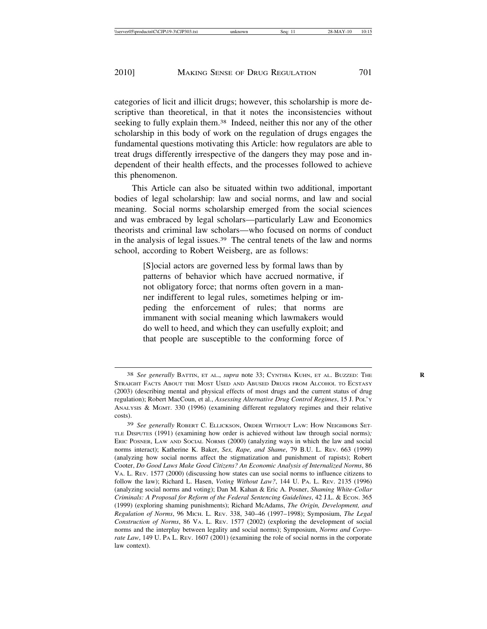categories of licit and illicit drugs; however, this scholarship is more descriptive than theoretical, in that it notes the inconsistencies without seeking to fully explain them.<sup>38</sup> Indeed, neither this nor any of the other scholarship in this body of work on the regulation of drugs engages the fundamental questions motivating this Article: how regulators are able to treat drugs differently irrespective of the dangers they may pose and independent of their health effects, and the processes followed to achieve this phenomenon.

This Article can also be situated within two additional, important bodies of legal scholarship: law and social norms, and law and social meaning. Social norms scholarship emerged from the social sciences and was embraced by legal scholars—particularly Law and Economics theorists and criminal law scholars—who focused on norms of conduct in the analysis of legal issues.39 The central tenets of the law and norms school, according to Robert Weisberg, are as follows:

> [S]ocial actors are governed less by formal laws than by patterns of behavior which have accrued normative, if not obligatory force; that norms often govern in a manner indifferent to legal rules, sometimes helping or impeding the enforcement of rules; that norms are immanent with social meaning which lawmakers would do well to heed, and which they can usefully exploit; and that people are susceptible to the conforming force of

<sup>38</sup> *See generally* BATTIN, ET AL., *supra* note 33; CYNTHIA KUHN, ET AL. BUZZED: THE **R** STRAIGHT FACTS ABOUT THE MOST USED AND ABUSED DRUGS FROM ALCOHOL TO ECSTASY (2003) (describing mental and physical effects of most drugs and the current status of drug regulation); Robert MacCoun, et al., *Assessing Alternative Drug Control Regimes*, 15 J. POL'Y ANALYSIS & MGMT. 330 (1996) (examining different regulatory regimes and their relative costs).

<sup>39</sup> *See generally* ROBERT C. ELLICKSON, ORDER WITHOUT LAW: HOW NEIGHBORS SET-TLE DISPUTES (1991) (examining how order is achieved without law through social norms)*;* ERIC POSNER, LAW AND SOCIAL NORMS (2000) (analyzing ways in which the law and social norms interact); Katherine K. Baker, *Sex, Rape, and Shame*, 79 B.U. L. REV. 663 (1999) (analyzing how social norms affect the stigmatization and punishment of rapists); Robert Cooter, *Do Good Laws Make Good Citizens? An Economic Analysis of Internalized Norms*, 86 VA. L. REV. 1577 (2000) (discussing how states can use social norms to influence citizens to follow the law); Richard L. Hasen, *Voting Without Law?*, 144 U. PA. L. REV. 2135 (1996) (analyzing social norms and voting); Dan M. Kahan & Eric A. Posner, *Shaming White-Collar Criminals: A Proposal for Reform of the Federal Sentencing Guidelines*, 42 J.L. & ECON. 365 (1999) (exploring shaming punishments); Richard McAdams, *The Origin, Development, and Regulation of Norms*, 96 MICH. L. REV. 338, 340–46 (1997–1998); Symposium, *The Legal Construction of Norms*, 86 VA. L. REV. 1577 (2002) (exploring the development of social norms and the interplay between legality and social norms); Symposium, *Norms and Corporate Law*, 149 U. PA L. REV. 1607 (2001) (examining the role of social norms in the corporate law context).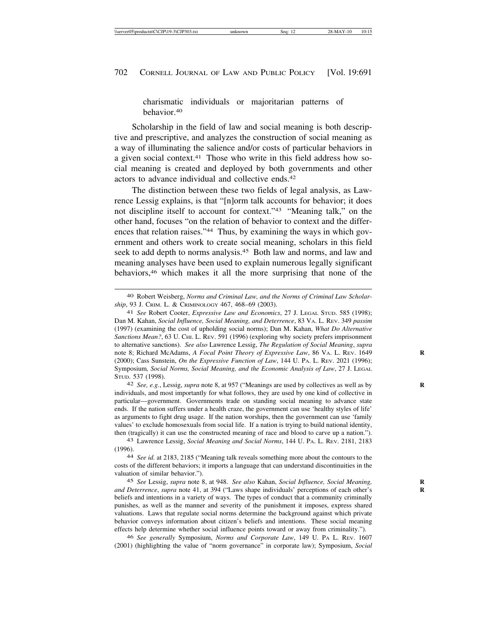charismatic individuals or majoritarian patterns of behavior.40

Scholarship in the field of law and social meaning is both descriptive and prescriptive, and analyzes the construction of social meaning as a way of illuminating the salience and/or costs of particular behaviors in a given social context.41 Those who write in this field address how social meaning is created and deployed by both governments and other actors to advance individual and collective ends.42

The distinction between these two fields of legal analysis, as Lawrence Lessig explains, is that "[n]orm talk accounts for behavior; it does not discipline itself to account for context."43 "Meaning talk," on the other hand, focuses "on the relation of behavior to context and the differences that relation raises."44 Thus, by examining the ways in which government and others work to create social meaning, scholars in this field seek to add depth to norms analysis.45 Both law and norms, and law and meaning analyses have been used to explain numerous legally significant behaviors,46 which makes it all the more surprising that none of the

42 *See, e.g.*, Lessig, *supra* note 8, at 957 ("Meanings are used by collectives as well as by **R** individuals, and most importantly for what follows, they are used by one kind of collective in particular—government. Governments trade on standing social meaning to advance state ends. If the nation suffers under a health craze, the government can use 'healthy styles of life' as arguments to fight drug usage. If the nation worships, then the government can use 'family values' to exclude homosexuals from social life. If a nation is trying to build national identity, then (tragically) it can use the constructed meaning of race and blood to carve up a nation.").

43 Lawrence Lessig, *Social Meaning and Social Norms*, 144 U. PA. L. REV. 2181, 2183 (1996).

44 *See id.* at 2183, 2185 ("Meaning talk reveals something more about the contours to the costs of the different behaviors; it imports a language that can understand discontinuities in the valuation of similar behavior.").

45 *See* Lessig, *supra* note 8, at 948. *See also* Kahan, *Social Influence, Social Meaning,* **R** *and Deterrence*, *supra* note 41, at 394 ("Laws shape individuals' perceptions of each other's **R** beliefs and intentions in a variety of ways. The types of conduct that a community criminally punishes, as well as the manner and severity of the punishment it imposes, express shared valuations. Laws that regulate social norms determine the background against which private behavior conveys information about citizen's beliefs and intentions. These social meaning effects help determine whether social influence points toward or away from criminality.").

46 *See generally* Symposium, *Norms and Corporate Law*, 149 U. PA L. REV. 1607 (2001) (highlighting the value of "norm governance" in corporate law); Symposium, *Social*

<sup>40</sup> Robert Weisberg, *Norms and Criminal Law, and the Norms of Criminal Law Scholarship*, 93 J. CRIM. L. & CRIMINOLOGY 467, 468–69 (2003).

<sup>41</sup> *See* Robert Cooter, *Expressive Law and Economics*, 27 J. LEGAL STUD. 585 (1998); Dan M. Kahan, *Social Influence, Social Meaning, and Deterrence*, 83 VA. L. REV. 349 *passim* (1997) (examining the cost of upholding social norms); Dan M. Kahan, *What Do Alternative* Sanctions Mean?, 63 U. CHI. L. REV. 591 (1996) (exploring why society prefers imprisonment to alternative sanctions). *See also* Lawrence Lessig, *The Regulation of Social Meaning*, *supra* note 8; Richard McAdams, *A Focal Point Theory of Expressive Law*, 86 VA. L. REV. 1649 **R** (2000); Cass Sunstein, *On the Expressive Function of Law*, 144 U. PA. L. REV. 2021 (1996); Symposium*, Social Norms, Social Meaning, and the Economic Analysis of Law*, 27 J. LEGAL STUD. 537 (1998).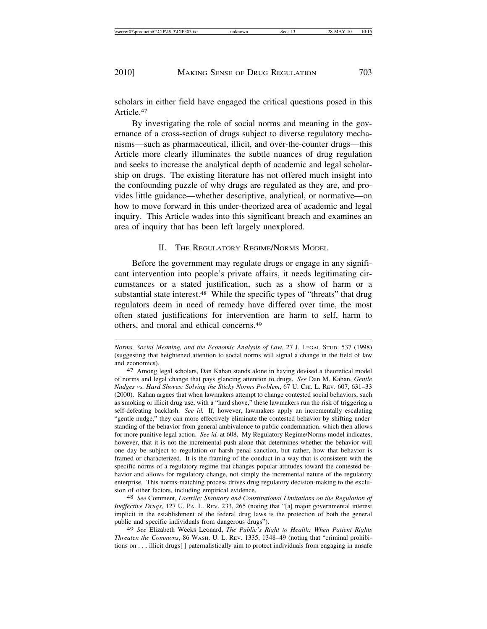scholars in either field have engaged the critical questions posed in this Article.47

By investigating the role of social norms and meaning in the governance of a cross-section of drugs subject to diverse regulatory mechanisms—such as pharmaceutical, illicit, and over-the-counter drugs—this Article more clearly illuminates the subtle nuances of drug regulation and seeks to increase the analytical depth of academic and legal scholarship on drugs. The existing literature has not offered much insight into the confounding puzzle of why drugs are regulated as they are, and provides little guidance—whether descriptive, analytical, or normative—on how to move forward in this under-theorized area of academic and legal inquiry. This Article wades into this significant breach and examines an area of inquiry that has been left largely unexplored.

## II. THE REGULATORY REGIME/NORMS MODEL

Before the government may regulate drugs or engage in any significant intervention into people's private affairs, it needs legitimating circumstances or a stated justification, such as a show of harm or a substantial state interest.<sup>48</sup> While the specific types of "threats" that drug regulators deem in need of remedy have differed over time, the most often stated justifications for intervention are harm to self, harm to others, and moral and ethical concerns.49

*Ineffective Drugs*, 127 U. PA. L. REV. 233, 265 (noting that "[a] major governmental interest implicit in the establishment of the federal drug laws is the protection of both the general public and specific individuals from dangerous drugs").

49 *See* Elizabeth Weeks Leonard, *The Public's Right to Health: When Patient Rights Threaten the Commons*, 86 WASH. U. L. REV. 1335, 1348–49 (noting that "criminal prohibitions on . . . illicit drugs[ ] paternalistically aim to protect individuals from engaging in unsafe

*Norms, Social Meaning, and the Economic Analysis of Law*, 27 J. LEGAL STUD. 537 (1998) (suggesting that heightened attention to social norms will signal a change in the field of law and economics). <sup>47</sup> Among legal scholars, Dan Kahan stands alone in having devised a theoretical model

of norms and legal change that pays glancing attention to drugs. *See* Dan M. Kahan, *Gentle Nudges vs. Hard Shoves: Solving the Sticky Norms Problem*, 67 U. CHI. L. REV. 607, 631–33 (2000). Kahan argues that when lawmakers attempt to change contested social behaviors, such as smoking or illicit drug use, with a "hard shove," these lawmakers run the risk of triggering a self-defeating backlash. *See id.* If, however, lawmakers apply an incrementally escalating "gentle nudge," they can more effectively eliminate the contested behavior by shifting understanding of the behavior from general ambivalence to public condemnation, which then allows for more punitive legal action. *See id.* at 608. My Regulatory Regime/Norms model indicates, however, that it is not the incremental push alone that determines whether the behavior will one day be subject to regulation or harsh penal sanction, but rather, how that behavior is framed or characterized. It is the framing of the conduct in a way that is consistent with the specific norms of a regulatory regime that changes popular attitudes toward the contested behavior and allows for regulatory change, not simply the incremental nature of the regulatory enterprise. This norms-matching process drives drug regulatory decision-making to the exclusion of other factors, including empirical evidence. <sup>48</sup> *See* Comment, *Laetrile: Statutory and Constitutional Limitations on the Regulation of*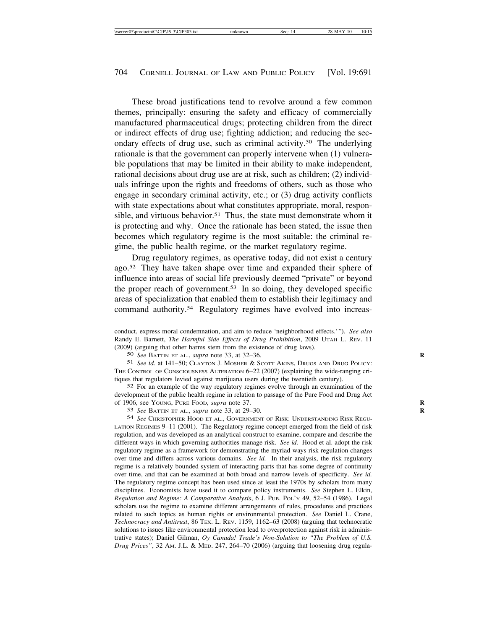These broad justifications tend to revolve around a few common themes, principally: ensuring the safety and efficacy of commercially manufactured pharmaceutical drugs; protecting children from the direct or indirect effects of drug use; fighting addiction; and reducing the secondary effects of drug use, such as criminal activity.50 The underlying rationale is that the government can properly intervene when (1) vulnerable populations that may be limited in their ability to make independent, rational decisions about drug use are at risk, such as children; (2) individuals infringe upon the rights and freedoms of others, such as those who engage in secondary criminal activity, etc.; or (3) drug activity conflicts with state expectations about what constitutes appropriate, moral, responsible, and virtuous behavior.<sup>51</sup> Thus, the state must demonstrate whom it is protecting and why. Once the rationale has been stated, the issue then becomes which regulatory regime is the most suitable: the criminal regime, the public health regime, or the market regulatory regime.

Drug regulatory regimes, as operative today, did not exist a century ago.52 They have taken shape over time and expanded their sphere of influence into areas of social life previously deemed "private" or beyond the proper reach of government.53 In so doing, they developed specific areas of specialization that enabled them to establish their legitimacy and command authority.54 Regulatory regimes have evolved into increas-

50 *See* BATTIN ET AL., *supra* note 33, at 32–36. **R**

51 *See id*. at 141–50; CLAYTON J. MOSHER & SCOTT AKINS, DRUGS AND DRUG POLICY: THE CONTROL OF CONSCIOUSNESS ALTERATION 6–22 (2007) (explaining the wide-ranging critiques that regulators levied against marijuana users during the twentieth century).

52 For an example of the way regulatory regimes evolve through an examination of the development of the public health regime in relation to passage of the Pure Food and Drug Act of 1906, see YOUNG, PURE FOOD, *supra* note 37. **R**

53 *See* BATTIN ET AL., *supra* note 33, at 29–30. **R**

54 *See* CHRISTOPHER HOOD ET AL., GOVERNMENT OF RISK: UNDERSTANDING RISK REGU-LATION REGIMES 9–11 (2001). The Regulatory regime concept emerged from the field of risk regulation, and was developed as an analytical construct to examine, compare and describe the different ways in which governing authorities manage risk. *See id.* Hood et al. adopt the risk regulatory regime as a framework for demonstrating the myriad ways risk regulation changes over time and differs across various domains. *See id.* In their analysis, the risk regulatory regime is a relatively bounded system of interacting parts that has some degree of continuity over time, and that can be examined at both broad and narrow levels of specificity. *See id.* The regulatory regime concept has been used since at least the 1970s by scholars from many disciplines. Economists have used it to compare policy instruments. *See* Stephen L. Elkin, *Regulation and Regime: A Comparative Analysis*, 6 J. PUB. POL'Y 49, 52–54 (1986). Legal scholars use the regime to examine different arrangements of rules, procedures and practices related to such topics as human rights or environmental protection. *See* Daniel L. Crane, *Technocracy and Antitrust*, 86 TEX. L. REV. 1159, 1162–63 (2008) (arguing that technocratic solutions to issues like environmental protection lead to overprotection against risk in administrative states); Daniel Gilman, *Oy Canada! Trade's Non-Solution to "The Problem of U.S. Drug Prices"*, 32 AM. J.L. & MED. 247, 264–70 (2006) (arguing that loosening drug regula-

conduct, express moral condemnation, and aim to reduce 'neighborhood effects.'"). *See also* Randy E. Barnett, *The Harmful Side Effects of Drug Prohibition*, 2009 UTAH L. REV. 11 (2009) (arguing that other harms stem from the existence of drug laws).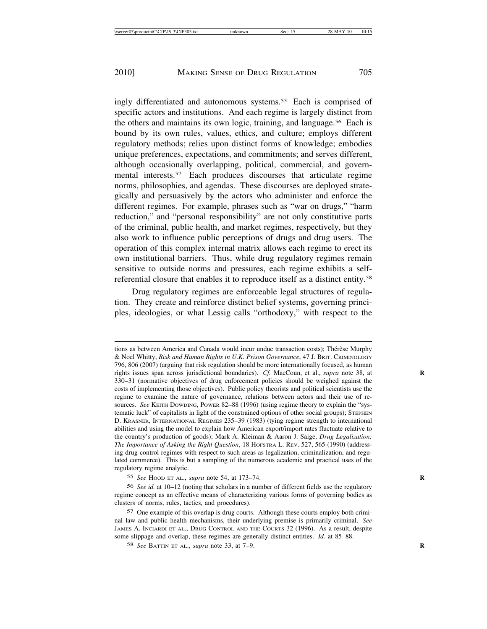ingly differentiated and autonomous systems.55 Each is comprised of specific actors and institutions. And each regime is largely distinct from the others and maintains its own logic, training, and language.56 Each is bound by its own rules, values, ethics, and culture; employs different regulatory methods; relies upon distinct forms of knowledge; embodies unique preferences, expectations, and commitments; and serves different, although occasionally overlapping, political, commercial, and governmental interests.57 Each produces discourses that articulate regime norms, philosophies, and agendas. These discourses are deployed strategically and persuasively by the actors who administer and enforce the different regimes. For example, phrases such as "war on drugs," "harm reduction," and "personal responsibility" are not only constitutive parts of the criminal, public health, and market regimes, respectively, but they also work to influence public perceptions of drugs and drug users. The operation of this complex internal matrix allows each regime to erect its own institutional barriers. Thus, while drug regulatory regimes remain sensitive to outside norms and pressures, each regime exhibits a selfreferential closure that enables it to reproduce itself as a distinct entity.58

Drug regulatory regimes are enforceable legal structures of regulation. They create and reinforce distinct belief systems, governing principles, ideologies, or what Lessig calls "orthodoxy," with respect to the

tions as between America and Canada would incur undue transaction costs); Thérèse Murphy & Noel Whitty, *Risk and Human Rights in U.K. Prison Governance*, 47 J. BRIT. CRIMINOLOGY 796, 806 (2007) (arguing that risk regulation should be more internationally focused, as human rights issues span across jurisdictional boundaries). *Cf.* MacCoun, et al., *supra* note 38, at **R** 330–31 (normative objectives of drug enforcement policies should be weighed against the costs of implementing those objectives). Public policy theorists and political scientists use the regime to examine the nature of governance, relations between actors and their use of resources. *See* KEITH DOWDING, POWER 82–88 (1996) (using regime theory to explain the "systematic luck" of capitalists in light of the constrained options of other social groups); STEPHEN D. KRASNER, INTERNATIONAL REGIMES 235–39 (1983) (tying regime strength to international abilities and using the model to explain how American export/import rates fluctuate relative to the country's production of goods); Mark A. Kleiman & Aaron J. Saige, *Drug Legalization: The Importance of Asking the Right Question*, 18 HOFSTRA L. REV. 527, 565 (1990) (addressing drug control regimes with respect to such areas as legalization, criminalization, and regulated commerce). This is but a sampling of the numerous academic and practical uses of the regulatory regime analytic.

<sup>55</sup> *See* HOOD ET AL., *supra* note 54, at 173–74. **R**

<sup>56</sup> *See id.* at 10–12 (noting that scholars in a number of different fields use the regulatory regime concept as an effective means of characterizing various forms of governing bodies as clusters of norms, rules, tactics, and procedures).

<sup>57</sup> One example of this overlap is drug courts. Although these courts employ both criminal law and public health mechanisms, their underlying premise is primarily criminal. *See* JAMES A. INCIARDI ET AL., DRUG CONTROL AND THE COURTS 32 (1996). As a result, despite some slippage and overlap, these regimes are generally distinct entities. *Id.* at 85–88.

<sup>58</sup> *See* BATTIN ET AL., *supra* note 33, at 7–9. **R**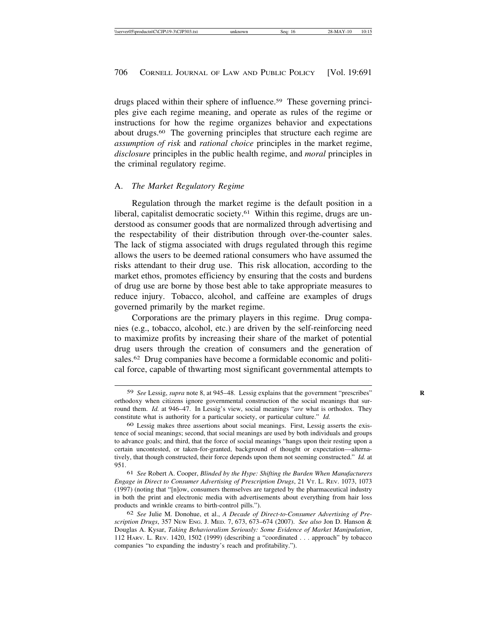drugs placed within their sphere of influence.59 These governing principles give each regime meaning, and operate as rules of the regime or instructions for how the regime organizes behavior and expectations about drugs.60 The governing principles that structure each regime are *assumption of risk* and *rational choice* principles in the market regime, *disclosure* principles in the public health regime, and *moral* principles in the criminal regulatory regime.

#### A. *The Market Regulatory Regime*

Regulation through the market regime is the default position in a liberal, capitalist democratic society.<sup>61</sup> Within this regime, drugs are understood as consumer goods that are normalized through advertising and the respectability of their distribution through over-the-counter sales. The lack of stigma associated with drugs regulated through this regime allows the users to be deemed rational consumers who have assumed the risks attendant to their drug use. This risk allocation, according to the market ethos, promotes efficiency by ensuring that the costs and burdens of drug use are borne by those best able to take appropriate measures to reduce injury. Tobacco, alcohol, and caffeine are examples of drugs governed primarily by the market regime.

Corporations are the primary players in this regime. Drug companies (e.g., tobacco, alcohol, etc.) are driven by the self-reinforcing need to maximize profits by increasing their share of the market of potential drug users through the creation of consumers and the generation of sales.<sup>62</sup> Drug companies have become a formidable economic and political force, capable of thwarting most significant governmental attempts to

<sup>59</sup> *See* Lessig, *supra* note 8, at 945–48. Lessig explains that the government "prescribes" **R** orthodoxy when citizens ignore governmental construction of the social meanings that surround them. *Id.* at 946–47. In Lessig's view, social meanings "*are* what is orthodox. They constitute what is authority for a particular society, or particular culture." *Id.*

<sup>60</sup> Lessig makes three assertions about social meanings. First, Lessig asserts the existence of social meanings; second, that social meanings are used by both individuals and groups to advance goals; and third, that the force of social meanings "hangs upon their resting upon a certain uncontested, or taken-for-granted, background of thought or expectation—alternatively, that though constructed, their force depends upon them not seeming constructed." *Id.* at 951.

<sup>61</sup> *See* Robert A. Cooper, *Blinded by the Hype: Shifting the Burden When Manufacturers Engage in Direct to Consumer Advertising of Prescription Drugs*, 21 VT. L. REV. 1073, 1073 (1997) (noting that "[n]ow, consumers themselves are targeted by the pharmaceutical industry in both the print and electronic media with advertisements about everything from hair loss products and wrinkle creams to birth-control pills.").

<sup>62</sup> *See* Julie M. Donohue, et al., *A Decade of Direct-to-Consumer Advertising of Prescription Drugs*, 357 NEW ENG. J. MED. 7, 673, 673–674 (2007). *See also* Jon D. Hanson & Douglas A. Kysar, *Taking Behavioralism Seriously: Some Evidence of Market Manipulation*, 112 HARV. L. REV. 1420, 1502 (1999) (describing a "coordinated . . . approach" by tobacco companies "to expanding the industry's reach and profitability.").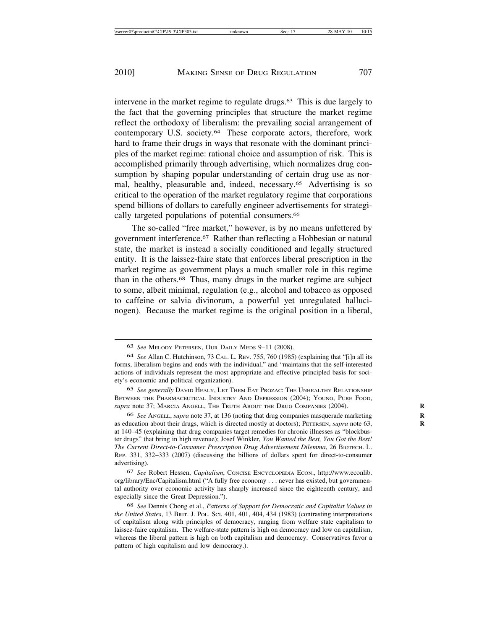intervene in the market regime to regulate drugs.<sup>63</sup> This is due largely to the fact that the governing principles that structure the market regime reflect the orthodoxy of liberalism: the prevailing social arrangement of contemporary U.S. society.64 These corporate actors, therefore, work hard to frame their drugs in ways that resonate with the dominant principles of the market regime: rational choice and assumption of risk. This is accomplished primarily through advertising, which normalizes drug consumption by shaping popular understanding of certain drug use as normal, healthy, pleasurable and, indeed, necessary.65 Advertising is so critical to the operation of the market regulatory regime that corporations spend billions of dollars to carefully engineer advertisements for strategically targeted populations of potential consumers.66

The so-called "free market," however, is by no means unfettered by government interference.67 Rather than reflecting a Hobbesian or natural state, the market is instead a socially conditioned and legally structured entity. It is the laissez-faire state that enforces liberal prescription in the market regime as government plays a much smaller role in this regime than in the others.68 Thus, many drugs in the market regime are subject to some, albeit minimal, regulation (e.g., alcohol and tobacco as opposed to caffeine or salvia divinorum, a powerful yet unregulated hallucinogen). Because the market regime is the original position in a liberal,

<sup>63</sup> *See* MELODY PETERSEN, OUR DAILY MEDS 9–11 (2008).

<sup>64</sup> *See* Allan C. Hutchinson, 73 CAL. L. REV. 755, 760 (1985) (explaining that "[i]n all its forms, liberalism begins and ends with the individual," and "maintains that the self-interested actions of individuals represent the most appropriate and effective principled basis for society's economic and political organization).

<sup>65</sup> *See generally* DAVID HEALY, LET THEM EAT PROZAC: THE UNHEALTHY RELATIONSHIP BETWEEN THE PHARMACEUTICAL INDUSTRY AND DEPRESSION (2004); YOUNG, PURE FOOD, *supra* note 37; MARCIA ANGELL, THE TRUTH ABOUT THE DRUG COMPANIES (2004). **R**

<sup>66</sup> *See* ANGELL, *supra* note 37, at 136 (noting that drug companies masquerade marketing **R** as education about their drugs, which is directed mostly at doctors); PETERSEN, *supra* note 63, at 140–45 (explaining that drug companies target remedies for chronic illnesses as "blockbuster drugs" that bring in high revenue); Josef Winkler, *You Wanted the Best, You Got the Best! The Current Direct-to-Consumer Prescription Drug Advertisement Dilemma*, 26 BIOTECH. L. REP. 331, 332–333 (2007) (discussing the billions of dollars spent for direct-to-consumer advertising).

<sup>67</sup> *See* Robert Hessen, *Capitalism*, CONCISE ENCYCLOPEDIA ECON., http://www.econlib. org/library/Enc/Capitalism.html ("A fully free economy . . . never has existed, but governmental authority over economic activity has sharply increased since the eighteenth century, and especially since the Great Depression.").

<sup>68</sup> *See* Dennis Chong et al., *Patterns of Support for Democratic and Capitalist Values in the United States*, 13 BRIT. J. POL. SCI. 401, 401, 404, 434 (1983) (contrasting interpretations of capitalism along with principles of democracy, ranging from welfare state capitalism to laissez-faire capitalism. The welfare-state pattern is high on democracy and low on capitalism, whereas the liberal pattern is high on both capitalism and democracy. Conservatives favor a pattern of high capitalism and low democracy.).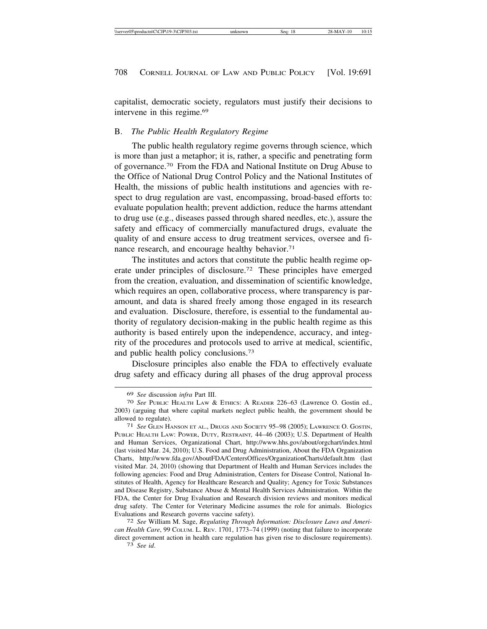capitalist, democratic society, regulators must justify their decisions to intervene in this regime.69

#### B. *The Public Health Regulatory Regime*

The public health regulatory regime governs through science, which is more than just a metaphor; it is, rather, a specific and penetrating form of governance.70 From the FDA and National Institute on Drug Abuse to the Office of National Drug Control Policy and the National Institutes of Health, the missions of public health institutions and agencies with respect to drug regulation are vast, encompassing, broad-based efforts to: evaluate population health; prevent addiction, reduce the harms attendant to drug use (e.g., diseases passed through shared needles, etc.), assure the safety and efficacy of commercially manufactured drugs, evaluate the quality of and ensure access to drug treatment services, oversee and finance research, and encourage healthy behavior.<sup>71</sup>

The institutes and actors that constitute the public health regime operate under principles of disclosure.72 These principles have emerged from the creation, evaluation, and dissemination of scientific knowledge, which requires an open, collaborative process, where transparency is paramount, and data is shared freely among those engaged in its research and evaluation. Disclosure, therefore, is essential to the fundamental authority of regulatory decision-making in the public health regime as this authority is based entirely upon the independence, accuracy, and integrity of the procedures and protocols used to arrive at medical, scientific, and public health policy conclusions.73

Disclosure principles also enable the FDA to effectively evaluate drug safety and efficacy during all phases of the drug approval process

*can Health Care*, 99 COLUM. L. REV. 1701, 1773–74 (1999) (noting that failure to incorporate direct government action in health care regulation has given rise to disclosure requirements). <sup>73</sup> *See id*.

<sup>69</sup> *See* discussion *infra* Part III. <sup>70</sup> *See* PUBLIC HEALTH LAW & ETHICS: A READER 226–63 (Lawrence O. Gostin ed., 2003) (arguing that where capital markets neglect public health, the government should be allowed to regulate). <sup>71</sup> *See* GLEN HANSON ET AL., DRUGS AND SOCIETY 95–98 (2005); LAWRENCE O. GOSTIN,

PUBLIC HEALTH LAW: POWER, DUTY, RESTRAINT*,* 44–46 (2003); U.S. Department of Health and Human Services, Organizational Chart, http://www.hhs.gov/about/orgchart/index.html (last visited Mar. 24, 2010); U.S. Food and Drug Administration, About the FDA Organization Charts, http://www.fda.gov/AboutFDA/CentersOffices/OrganizationCharts/default.htm (last visited Mar. 24, 2010) (showing that Department of Health and Human Services includes the following agencies: Food and Drug Administration, Centers for Disease Control, National Institutes of Health, Agency for Healthcare Research and Quality; Agency for Toxic Substances and Disease Registry, Substance Abuse & Mental Health Services Administration. Within the FDA, the Center for Drug Evaluation and Research division reviews and monitors medical drug safety. The Center for Veterinary Medicine assumes the role for animals. Biologics Evaluations and Research governs vaccine safety). <sup>72</sup> *See* William M. Sage, *Regulating Through Information: Disclosure Laws and Ameri-*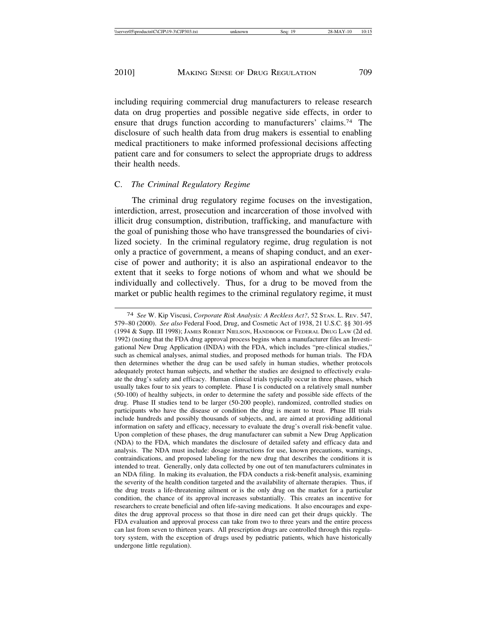including requiring commercial drug manufacturers to release research data on drug properties and possible negative side effects, in order to ensure that drugs function according to manufacturers' claims.74 The disclosure of such health data from drug makers is essential to enabling medical practitioners to make informed professional decisions affecting patient care and for consumers to select the appropriate drugs to address their health needs.

## C. *The Criminal Regulatory Regime*

The criminal drug regulatory regime focuses on the investigation, interdiction, arrest, prosecution and incarceration of those involved with illicit drug consumption, distribution, trafficking, and manufacture with the goal of punishing those who have transgressed the boundaries of civilized society. In the criminal regulatory regime, drug regulation is not only a practice of government, a means of shaping conduct, and an exercise of power and authority; it is also an aspirational endeavor to the extent that it seeks to forge notions of whom and what we should be individually and collectively. Thus, for a drug to be moved from the market or public health regimes to the criminal regulatory regime, it must

<sup>74</sup> *See* W. Kip Viscusi, *Corporate Risk Analysis: A Reckless Act?*, 52 STAN. L. REV. 547, 579–80 (2000). *See also* Federal Food, Drug, and Cosmetic Act of 1938, 21 U.S.C. §§ 301-95 (1994 & Supp. III 1998); JAMES ROBERT NIELSON, HANDBOOK OF FEDERAL DRUG LAW (2d ed. 1992) (noting that the FDA drug approval process begins when a manufacturer files an Investigational New Drug Application (INDA) with the FDA, which includes "pre-clinical studies," such as chemical analyses, animal studies, and proposed methods for human trials. The FDA then determines whether the drug can be used safely in human studies, whether protocols adequately protect human subjects, and whether the studies are designed to effectively evaluate the drug's safety and efficacy. Human clinical trials typically occur in three phases, which usually takes four to six years to complete. Phase I is conducted on a relatively small number (50-100) of healthy subjects, in order to determine the safety and possible side effects of the drug. Phase II studies tend to be larger (50-200 people), randomized, controlled studies on participants who have the disease or condition the drug is meant to treat. Phase III trials include hundreds and possibly thousands of subjects, and, are aimed at providing additional information on safety and efficacy, necessary to evaluate the drug's overall risk-benefit value. Upon completion of these phases, the drug manufacturer can submit a New Drug Application (NDA) to the FDA, which mandates the disclosure of detailed safety and efficacy data and analysis. The NDA must include: dosage instructions for use, known precautions, warnings, contraindications, and proposed labeling for the new drug that describes the conditions it is intended to treat. Generally, only data collected by one out of ten manufacturers culminates in an NDA filing. In making its evaluation, the FDA conducts a risk-benefit analysis, examining the severity of the health condition targeted and the availability of alternate therapies. Thus, if the drug treats a life-threatening ailment or is the only drug on the market for a particular condition, the chance of its approval increases substantially. This creates an incentive for researchers to create beneficial and often life-saving medications. It also encourages and expedites the drug approval process so that those in dire need can get their drugs quickly. The FDA evaluation and approval process can take from two to three years and the entire process can last from seven to thirteen years. All prescription drugs are controlled through this regulatory system, with the exception of drugs used by pediatric patients, which have historically undergone little regulation).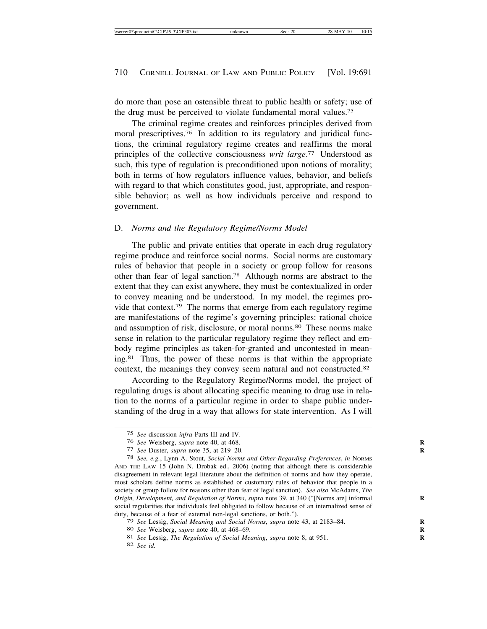do more than pose an ostensible threat to public health or safety; use of the drug must be perceived to violate fundamental moral values.75

The criminal regime creates and reinforces principles derived from moral prescriptives.<sup>76</sup> In addition to its regulatory and juridical functions, the criminal regulatory regime creates and reaffirms the moral principles of the collective consciousness *writ large*. 77 Understood as such, this type of regulation is preconditioned upon notions of morality; both in terms of how regulators influence values, behavior, and beliefs with regard to that which constitutes good, just, appropriate, and responsible behavior; as well as how individuals perceive and respond to government.

#### D. *Norms and the Regulatory Regime/Norms Model*

The public and private entities that operate in each drug regulatory regime produce and reinforce social norms. Social norms are customary rules of behavior that people in a society or group follow for reasons other than fear of legal sanction.78 Although norms are abstract to the extent that they can exist anywhere, they must be contextualized in order to convey meaning and be understood. In my model, the regimes provide that context.79 The norms that emerge from each regulatory regime are manifestations of the regime's governing principles: rational choice and assumption of risk, disclosure, or moral norms.80 These norms make sense in relation to the particular regulatory regime they reflect and embody regime principles as taken-for-granted and uncontested in meaning.81 Thus, the power of these norms is that within the appropriate context, the meanings they convey seem natural and not constructed.82

According to the Regulatory Regime/Norms model, the project of regulating drugs is about allocating specific meaning to drug use in relation to the norms of a particular regime in order to shape public understanding of the drug in a way that allows for state intervention. As I will

<sup>75</sup> *See* discussion *infra* Parts III and IV.

<sup>76</sup> *See* Weisberg, *supra* note 40, at 468. **R**

<sup>78</sup> See, e.g., Lynn A. Stout, Social Norms and Other-Regarding Preferences, in Norms AND THE LAW 15 (John N. Drobak ed., 2006) (noting that although there is considerable disagreement in relevant legal literature about the definition of norms and how they operate, most scholars define norms as established or customary rules of behavior that people in a society or group follow for reasons other than fear of legal sanction). *See also* McAdams, *The Origin, Development, and Regulation of Norms*, *supra* note 39, at 340 ("[Norms are] informal **R** social regularities that individuals feel obligated to follow because of an internalized sense of duty, because of a fear of external non-legal sanctions, or both.").

<sup>79</sup> *See* Lessig, *Social Meaning and Social Norms*, *supra* note 43, at 2183–84. **R**

<sup>80</sup> *See* Weisberg, *supra* note 40, at 468–69. **R**

<sup>81</sup> *See* Lessig, *The Regulation of Social Meaning*, *supra* note 8, at 951. **R**

<sup>82</sup> *See id.*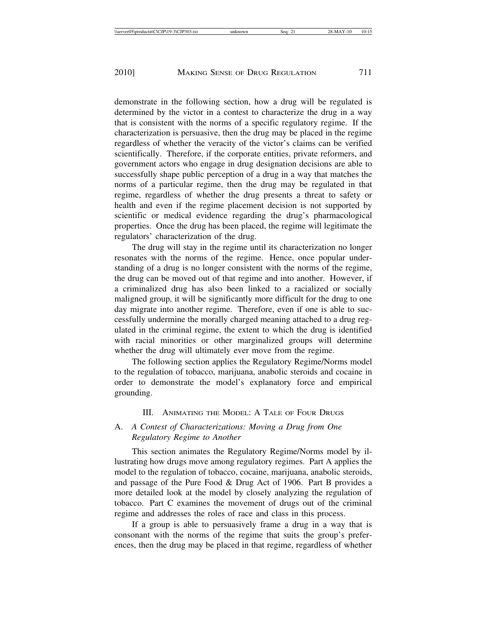demonstrate in the following section, how a drug will be regulated is determined by the victor in a contest to characterize the drug in a way that is consistent with the norms of a specific regulatory regime. If the characterization is persuasive, then the drug may be placed in the regime regardless of whether the veracity of the victor's claims can be verified scientifically. Therefore, if the corporate entities, private reformers, and government actors who engage in drug designation decisions are able to successfully shape public perception of a drug in a way that matches the norms of a particular regime, then the drug may be regulated in that regime, regardless of whether the drug presents a threat to safety or health and even if the regime placement decision is not supported by scientific or medical evidence regarding the drug's pharmacological properties. Once the drug has been placed, the regime will legitimate the regulators' characterization of the drug.

The drug will stay in the regime until its characterization no longer resonates with the norms of the regime. Hence, once popular understanding of a drug is no longer consistent with the norms of the regime, the drug can be moved out of that regime and into another. However, if a criminalized drug has also been linked to a racialized or socially maligned group, it will be significantly more difficult for the drug to one day migrate into another regime. Therefore, even if one is able to successfully undermine the morally charged meaning attached to a drug regulated in the criminal regime, the extent to which the drug is identified with racial minorities or other marginalized groups will determine whether the drug will ultimately ever move from the regime.

The following section applies the Regulatory Regime/Norms model to the regulation of tobacco, marijuana, anabolic steroids and cocaine in order to demonstrate the model's explanatory force and empirical grounding.

## III. ANIMATING THE MODEL: A TALE OF FOUR DRUGS

## A. *A Contest of Characterizations: Moving a Drug from One Regulatory Regime to Another*

This section animates the Regulatory Regime/Norms model by illustrating how drugs move among regulatory regimes. Part A applies the model to the regulation of tobacco, cocaine, marijuana, anabolic steroids, and passage of the Pure Food & Drug Act of 1906. Part B provides a more detailed look at the model by closely analyzing the regulation of tobacco. Part C examines the movement of drugs out of the criminal regime and addresses the roles of race and class in this process.

If a group is able to persuasively frame a drug in a way that is consonant with the norms of the regime that suits the group's preferences, then the drug may be placed in that regime, regardless of whether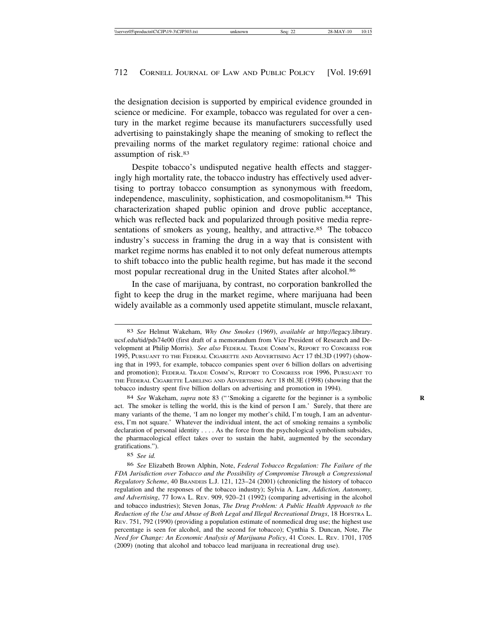the designation decision is supported by empirical evidence grounded in science or medicine. For example, tobacco was regulated for over a century in the market regime because its manufacturers successfully used advertising to painstakingly shape the meaning of smoking to reflect the prevailing norms of the market regulatory regime: rational choice and assumption of risk.83

Despite tobacco's undisputed negative health effects and staggeringly high mortality rate, the tobacco industry has effectively used advertising to portray tobacco consumption as synonymous with freedom, independence, masculinity, sophistication, and cosmopolitanism.84 This characterization shaped public opinion and drove public acceptance, which was reflected back and popularized through positive media representations of smokers as young, healthy, and attractive.<sup>85</sup> The tobacco industry's success in framing the drug in a way that is consistent with market regime norms has enabled it to not only defeat numerous attempts to shift tobacco into the public health regime, but has made it the second most popular recreational drug in the United States after alcohol.86

In the case of marijuana, by contrast, no corporation bankrolled the fight to keep the drug in the market regime, where marijuana had been widely available as a commonly used appetite stimulant, muscle relaxant,

85 *See id.*

<sup>83</sup> *See* Helmut Wakeham, *Why One Smokes* (1969), *available at* http://legacy.library. ucsf.edu/tid/pds74e00 (first draft of a memorandum from Vice President of Research and Development at Philip Morris). *See also* FEDERAL TRADE COMM'N, REPORT TO CONGRESS FOR 1995, PURSUANT TO THE FEDERAL CIGARETTE AND ADVERTISING ACT 17 tbl.3D (1997) (showing that in 1993, for example, tobacco companies spent over 6 billion dollars on advertising and promotion); FEDERAL TRADE COMM'N, REPORT TO CONGRESS FOR 1996, PURSUANT TO THE FEDERAL CIGARETTE LABELING AND ADVERTISING ACT 18 tbl.3E (1998) (showing that the tobacco industry spent five billion dollars on advertising and promotion in 1994).

<sup>84</sup> *See* Wakeham, *supra* note 83 ("'Smoking a cigarette for the beginner is a symbolic **R** act. The smoker is telling the world, this is the kind of person I am.' Surely, that there are many variants of the theme, 'I am no longer my mother's child, I'm tough, I am an adventuress, I'm not square.' Whatever the individual intent, the act of smoking remains a symbolic declaration of personal identity . . . . As the force from the psychological symbolism subsides, the pharmacological effect takes over to sustain the habit, augmented by the secondary gratifications.").

<sup>86</sup> *See* Elizabeth Brown Alphin, Note, *Federal Tobacco Regulation: The Failure of the FDA Jurisdiction over Tobacco and the Possibility of Compromise Through a Congressional Regulatory Scheme*, 40 BRANDEIS L.J. 121, 123–24 (2001) (chronicling the history of tobacco regulation and the responses of the tobacco industry); Sylvia A. Law, *Addiction, Autonomy, and Advertising*, 77 IOWA L. REV. 909, 920–21 (1992) (comparing advertising in the alcohol and tobacco industries); Steven Jonas, *The Drug Problem: A Public Health Approach to the Reduction of the Use and Abuse of Both Legal and Illegal Recreational Drugs*, 18 HOFSTRA L. REV. 751, 792 (1990) (providing a population estimate of nonmedical drug use; the highest use percentage is seen for alcohol, and the second for tobacco); Cynthia S. Duncan, Note, *The Need for Change: An Economic Analysis of Marijuana Policy*, 41 CONN. L. REV. 1701, 1705 (2009) (noting that alcohol and tobacco lead marijuana in recreational drug use).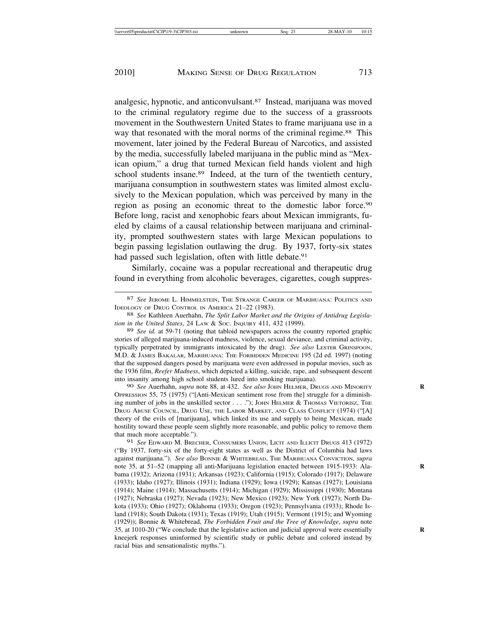analgesic, hypnotic, and anticonvulsant.87 Instead, marijuana was moved to the criminal regulatory regime due to the success of a grassroots movement in the Southwestern United States to frame marijuana use in a way that resonated with the moral norms of the criminal regime.<sup>88</sup> This movement, later joined by the Federal Bureau of Narcotics, and assisted by the media, successfully labeled marijuana in the public mind as "Mexican opium," a drug that turned Mexican field hands violent and high school students insane.<sup>89</sup> Indeed, at the turn of the twentieth century, marijuana consumption in southwestern states was limited almost exclusively to the Mexican population, which was perceived by many in the region as posing an economic threat to the domestic labor force.90 Before long, racist and xenophobic fears about Mexican immigrants, fueled by claims of a causal relationship between marijuana and criminality, prompted southwestern states with large Mexican populations to begin passing legislation outlawing the drug. By 1937, forty-six states had passed such legislation, often with little debate.<sup>91</sup>

Similarly, cocaine was a popular recreational and therapeutic drug found in everything from alcoholic beverages, cigarettes, cough suppres-

90 *See* Auerhahn, *supra* note 88, at 432. *See also* JOHN HELMER, DRUGS AND MINORITY **R** OPPRESSION 55, 75 (1975) ("[Anti-Mexican sentiment rose from the] struggle for a diminishing number of jobs in the unskilled sector . . . ."); JOHN HELMER & THOMAS VIETORISZ, THE DRUG ABUSE COUNCIL, DRUG USE, THE LABOR MARKET, AND CLASS CONFLICT (1974) ("[A] theory of the evils of [marijuana], which linked its use and supply to being Mexican, made hostility toward these people seem slightly more reasonable, and public policy to remove them that much more acceptable.").

91 *See* EDWARD M. BRECHER, CONSUMERS UNION, LICIT AND ILLICIT DRUGS 413 (1972) ("By 1937, forty-six of the forty-eight states as well as the District of Columbia had laws against marijuana."). *See also* BONNIE & WHITEBREAD, THE MARIHUANA CONVICTION, *supra* note 35, at 51-52 (mapping all anti-Marijuana legislation enacted between 1915-1933: Alabama (1932); Arizona (1931); Arkansas (1923); California (1915); Colorado (1917); Delaware (1933); Idaho (1927); Illinois (1931); Indiana (1929); Iowa (1929); Kansas (1927); Louisiana (1914); Maine (1914); Massachusetts (1914); Michigan (1929); Mississippi (1930); Montana (1927); Nebraska (1927); Nevada (1923); New Mexico (1923); New York (1927); North Dakota (1933); Ohio (1927); Oklahoma (1933); Oregon (1923); Pennsylvania (1933); Rhode Island (1918); South Dakota (1931); Texas (1919); Utah (1915); Vermont (1915); and Wyoming (1929)); Bonnie & Whitebread, *The Forbidden Fruit and the Tree of Knowledge*, *supra* note 35, at 1010-20 ("We conclude that the legislative action and judicial approval were essentially **R** kneejerk responses uninformed by scientific study or public debate and colored instead by racial bias and sensationalistic myths.").

<sup>87</sup> *See* JEROME L. HIMMELSTEIN, THE STRANGE CAREER OF MARIHUANA: POLITICS AND IDEOLOGY OF DRUG CONTROL IN AMERICA 21-22 (1983).

<sup>88</sup> See Kathleen Auerhahn, *The Split Labor Market and the Origins of Antidrug Legislation in the United States*, 24 LAW & SOC. INQUIRY 411, 432 (1999).

<sup>89</sup> *See id.* at 59-71 (noting that tabloid newspapers across the country reported graphic stories of alleged marijuana-induced madness, violence, sexual deviance, and criminal activity, typically perpetrated by immigrants intoxicated by the drug). *See also* LESTER GRINSPOON, M.D. & JAMES BAKALAR, MARIHUANA: THE FORBIDDEN MEDICINE 195 (2d ed. 1997) (noting that the supposed dangers posed by marijuana were even addressed in popular movies, such as the 1936 film, *Reefer Madness*, which depicted a killing, suicide, rape, and subsequent descent into insanity among high school students lured into smoking marijuana).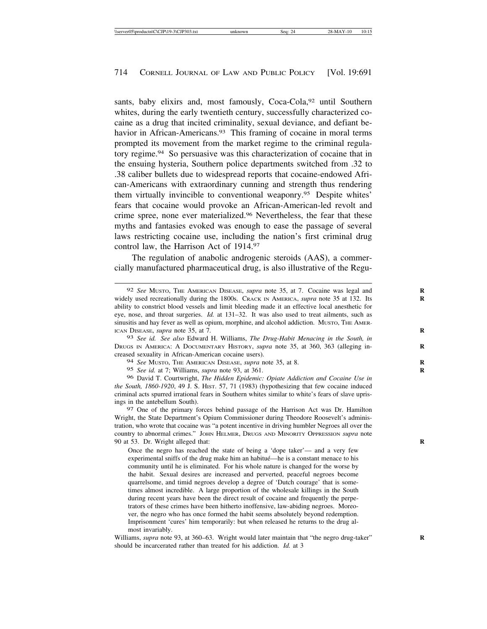sants, baby elixirs and, most famously, Coca-Cola,<sup>92</sup> until Southern whites, during the early twentieth century, successfully characterized cocaine as a drug that incited criminality, sexual deviance, and defiant behavior in African-Americans.<sup>93</sup> This framing of cocaine in moral terms prompted its movement from the market regime to the criminal regulatory regime.94 So persuasive was this characterization of cocaine that in the ensuing hysteria, Southern police departments switched from .32 to .38 caliber bullets due to widespread reports that cocaine-endowed African-Americans with extraordinary cunning and strength thus rendering them virtually invincible to conventional weaponry.95 Despite whites' fears that cocaine would provoke an African-American-led revolt and crime spree, none ever materialized.96 Nevertheless, the fear that these myths and fantasies evoked was enough to ease the passage of several laws restricting cocaine use, including the nation's first criminal drug control law, the Harrison Act of 1914.97

The regulation of anabolic androgenic steroids (AAS), a commercially manufactured pharmaceutical drug, is also illustrative of the Regu-

93 *See id. See also* Edward H. Williams, *The Drug-Habit Menacing in the South, in* DRUGS IN AMERICA: A DOCUMENTARY HISTORY, *supra* note 35, at 360, 363 (alleging in- **R** creased sexuality in African-American cocaine users).

96 David T. Courtwright, *The Hidden Epidemic: Opiate Addiction and Cocaine Use in the South, 1860-1920*, 49 J. S. HIST. 57, 71 (1983) (hypothesizing that few cocaine induced criminal acts spurred irrational fears in Southern whites similar to white's fears of slave uprisings in the antebellum South).

97 One of the primary forces behind passage of the Harrison Act was Dr. Hamilton Wright, the State Department's Opium Commissioner during Theodore Roosevelt's administration, who wrote that cocaine was "a potent incentive in driving humbler Negroes all over the country to abnormal crimes." JOHN HELMER, DRUGS AND MINORITY OPPRESSION *supra* note 90 at 53. Dr. Wright alleged that: **R**

Once the negro has reached the state of being a 'dope taker'— and a very few experimental sniffs of the drug make him an habitué—he is a constant menace to his community until he is eliminated. For his whole nature is changed for the worse by the habit. Sexual desires are increased and perverted, peaceful negroes become quarrelsome, and timid negroes develop a degree of 'Dutch courage' that is sometimes almost incredible. A large proportion of the wholesale killings in the South during recent years have been the direct result of cocaine and frequently the perpetrators of these crimes have been hitherto inoffensive, law-abiding negroes. Moreover, the negro who has once formed the habit seems absolutely beyond redemption. Imprisonment 'cures' him temporarily: but when released he returns to the drug almost invariably.

Williams, *supra* note 93, at 360–63. Wright would later maintain that "the negro drug-taker" should be incarcerated rather than treated for his addiction. *Id.* at 3

<sup>92</sup> *See* MUSTO, THE AMERICAN DISEASE, *supra* note 35, at 7. Cocaine was legal and **R** widely used recreationally during the 1800s. CRACK IN AMERICA, *supra* note 35 at 132. Its ability to constrict blood vessels and limit bleeding made it an effective local anesthetic for eye, nose, and throat surgeries. *Id.* at 131–32. It was also used to treat ailments, such as sinusitis and hay fever as well as opium, morphine, and alcohol addiction. MUSTO, THE AMER-ICAN DISEASE, *supra* note 35, at 7.

<sup>94</sup> *See* MUSTO, THE AMERICAN DISEASE, *supra* note 35, at 8. **R**

<sup>95</sup> *See id.* at 7; Williams, *supra* note 93, at 361. **R**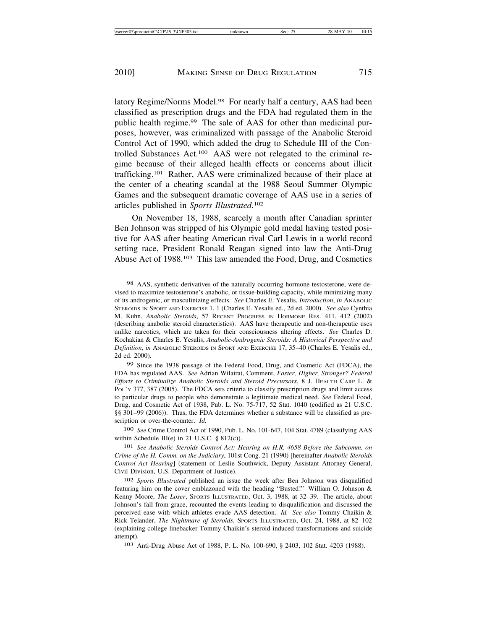latory Regime/Norms Model.<sup>98</sup> For nearly half a century, AAS had been classified as prescription drugs and the FDA had regulated them in the public health regime.99 The sale of AAS for other than medicinal purposes, however, was criminalized with passage of the Anabolic Steroid Control Act of 1990, which added the drug to Schedule III of the Controlled Substances Act.100 AAS were not relegated to the criminal regime because of their alleged health effects or concerns about illicit trafficking.101 Rather, AAS were criminalized because of their place at the center of a cheating scandal at the 1988 Seoul Summer Olympic Games and the subsequent dramatic coverage of AAS use in a series of articles published in *Sports Illustrated*. 102

On November 18, 1988, scarcely a month after Canadian sprinter Ben Johnson was stripped of his Olympic gold medal having tested positive for AAS after beating American rival Carl Lewis in a world record setting race, President Ronald Reagan signed into law the Anti-Drug Abuse Act of 1988.103 This law amended the Food, Drug, and Cosmetics

99 Since the 1938 passage of the Federal Food, Drug, and Cosmetic Act (FDCA), the FDA has regulated AAS. *See* Adrian Wilairat, Comment, *Faster, Higher, Stronger? Federal Efforts to Criminalize Anabolic Steroids and Steroid Precursors*, 8 J. HEALTH CARE L. & POL'Y 377, 387 (2005). The FDCA sets criteria to classify prescription drugs and limit access to particular drugs to people who demonstrate a legitimate medical need. *See* Federal Food, Drug, and Cosmetic Act of 1938, Pub. L. No. 75-717, 52 Stat. 1040 (codified as 21 U.S.C. §§ 301–99 (2006)). Thus, the FDA determines whether a substance will be classified as prescription or over-the-counter. *Id.*

100 *See* Crime Control Act of 1990, Pub. L. No. 101-647, 104 Stat. 4789 (classifying AAS within Schedule III(e) in 21 U.S.C. § 812(c)).

101 *See Anabolic Steroids Control Act: Hearing on H.R. 4658 Before the Subcomm. on Crime of the H. Comm. on the Judiciary*, 101st Cong. 21 (1990) [hereinafter *Anabolic Steroids Control Act Hearing*] (statement of Leslie Southwick, Deputy Assistant Attorney General, Civil Division, U.S. Department of Justice).

102 *Sports Illustrated* published an issue the week after Ben Johnson was disqualified featuring him on the cover emblazoned with the heading "Busted!" William O. Johnson & Kenny Moore, *The Loser*, Sports ILLUSTRATED, Oct. 3, 1988, at 32-39. The article, about Johnson's fall from grace, recounted the events leading to disqualification and discussed the perceived ease with which athletes evade AAS detection. *Id. See also* Tommy Chaikin & Rick Telander, *The Nightmare of Steroids*, SPORTS ILLUSTRATED, Oct. 24, 1988, at 82-102 (explaining college linebacker Tommy Chaikin's steroid induced transformations and suicide attempt).

103 Anti-Drug Abuse Act of 1988, P. L. No. 100-690, § 2403, 102 Stat. 4203 (1988).

<sup>98</sup> AAS, synthetic derivatives of the naturally occurring hormone testosterone, were devised to maximize testosterone's anabolic, or tissue-building capacity, while minimizing many of its androgenic, or masculinizing effects. *See* Charles E. Yesalis, *Introduction*, *in* ANABOLIC STEROIDS IN SPORT AND EXERCISE 1, 1 (Charles E. Yesalis ed., 2d ed. 2000). *See also* Cynthia M. Kuhn, *Anabolic Steroids*, 57 RECENT PROGRESS IN HORMONE RES. 411, 412 (2002) (describing anabolic steroid characteristics). AAS have therapeutic and non-therapeutic uses unlike narcotics, which are taken for their consciousness altering effects. *See* Charles D. Kochakian & Charles E. Yesalis, *Anabolic-Androgenic Steroids: A Historical Perspective and Definition*, *in* ANABOLIC STEROIDS IN SPORT AND EXERCISE 17, 35–40 (Charles E. Yesalis ed., 2d ed. 2000).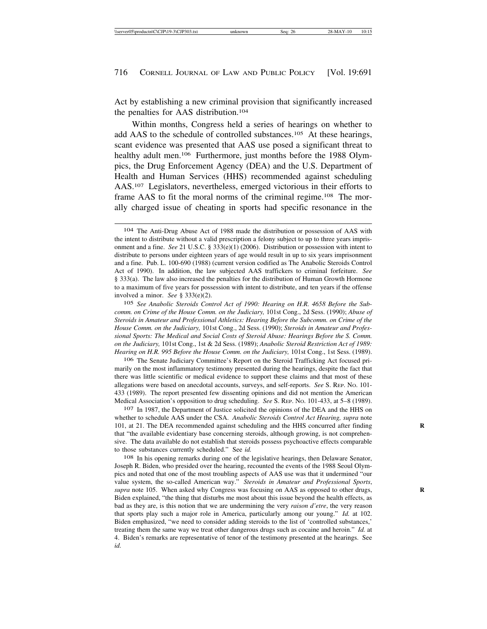Act by establishing a new criminal provision that significantly increased the penalties for AAS distribution.104

Within months, Congress held a series of hearings on whether to add AAS to the schedule of controlled substances.105 At these hearings, scant evidence was presented that AAS use posed a significant threat to healthy adult men.<sup>106</sup> Furthermore, just months before the 1988 Olympics, the Drug Enforcement Agency (DEA) and the U.S. Department of Health and Human Services (HHS) recommended against scheduling AAS.107 Legislators, nevertheless, emerged victorious in their efforts to frame AAS to fit the moral norms of the criminal regime.108 The morally charged issue of cheating in sports had specific resonance in the

105 *See Anabolic Steroids Control Act of 1990: Hearing on H.R. 4658 Before the Subcomm. on Crime of the House Comm. on the Judiciary,* 101st Cong., 2d Sess. (1990); *Abuse of Steroids in Amateur and Professional Athletics: Hearing Before the Subcomm. on Crime of the House Comm. on the Judiciary,* 101st Cong., 2d Sess. (1990); *Steroids in Amateur and Professional Sports: The Medical and Social Costs of Steroid Abuse: Hearings Before the S. Comm. on the Judiciary,* 101st Cong., 1st & 2d Sess. (1989); *Anabolic Steroid Restriction Act of 1989: Hearing on H.R. 995 Before the House Comm. on the Judiciary,* 101st Cong., 1st Sess. (1989).

106 The Senate Judiciary Committee's Report on the Steroid Trafficking Act focused primarily on the most inflammatory testimony presented during the hearings, despite the fact that there was little scientific or medical evidence to support these claims and that most of these allegations were based on anecdotal accounts, surveys, and self-reports. *See* S. REP. NO. 101- 433 (1989). The report presented few dissenting opinions and did not mention the American Medical Association's opposition to drug scheduling. *See* S. REP. NO. 101-433, at 5–8 (1989).

107 In 1987, the Department of Justice solicited the opinions of the DEA and the HHS on whether to schedule AAS under the CSA. *Anabolic Steroids Control Act Hearing, supra* note 101, at 21. The DEA recommended against scheduling and the HHS concurred after finding **R** that "the available evidentiary base concerning steroids, although growing, is not comprehensive. The data available do not establish that steroids possess psychoactive effects comparable to those substances currently scheduled." See *id.*

108 In his opening remarks during one of the legislative hearings, then Delaware Senator, Joseph R. Biden, who presided over the hearing, recounted the events of the 1988 Seoul Olympics and noted that one of the most troubling aspects of AAS use was that it undermined "our value system, the so-called American way." *Steroids in Amateur and Professional Sports*, *supra* note 105. When asked why Congress was focusing on AAS as opposed to other drugs, **R** Biden explained, "the thing that disturbs me most about this issue beyond the health effects, as bad as they are, is this notion that we are undermining the very *raison d'etre*, the very reason that sports play such a major role in America, particularly among our young." *Id.* at 102. Biden emphasized, "we need to consider adding steroids to the list of 'controlled substances,' treating them the same way we treat other dangerous drugs such as cocaine and heroin." *Id.* at 4. Biden's remarks are representative of tenor of the testimony presented at the hearings. See *id.*

<sup>104</sup> The Anti-Drug Abuse Act of 1988 made the distribution or possession of AAS with the intent to distribute without a valid prescription a felony subject to up to three years imprisonment and a fine. *See* 21 U.S.C. § 333(e)(1) (2006). Distribution or possession with intent to distribute to persons under eighteen years of age would result in up to six years imprisonment and a fine. Pub. L. 100-690 (1988) (current version codified as The Anabolic Steroids Control Act of 1990). In addition, the law subjected AAS traffickers to criminal forfeiture. *See* § 333(a). The law also increased the penalties for the distribution of Human Growth Hormone to a maximum of five years for possession with intent to distribute, and ten years if the offense involved a minor. *See* § 333(e)(2).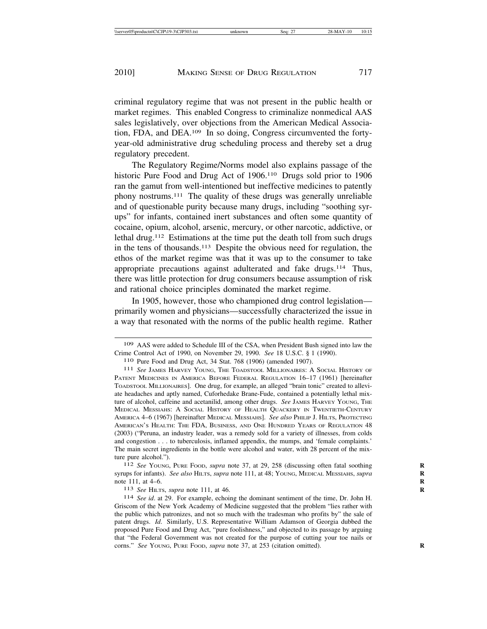criminal regulatory regime that was not present in the public health or market regimes. This enabled Congress to criminalize nonmedical AAS sales legislatively, over objections from the American Medical Association, FDA, and DEA.109 In so doing, Congress circumvented the fortyyear-old administrative drug scheduling process and thereby set a drug regulatory precedent.

The Regulatory Regime/Norms model also explains passage of the historic Pure Food and Drug Act of 1906.<sup>110</sup> Drugs sold prior to 1906 ran the gamut from well-intentioned but ineffective medicines to patently phony nostrums.111 The quality of these drugs was generally unreliable and of questionable purity because many drugs, including "soothing syrups" for infants, contained inert substances and often some quantity of cocaine, opium, alcohol, arsenic, mercury, or other narcotic, addictive, or lethal drug.<sup>112</sup> Estimations at the time put the death toll from such drugs in the tens of thousands.113 Despite the obvious need for regulation, the ethos of the market regime was that it was up to the consumer to take appropriate precautions against adulterated and fake drugs.114 Thus, there was little protection for drug consumers because assumption of risk and rational choice principles dominated the market regime.

In 1905, however, those who championed drug control legislation primarily women and physicians—successfully characterized the issue in a way that resonated with the norms of the public health regime. Rather

syrups for infants). *See also* HILTS, *supra* note 111, at 48; YOUNG, MEDICAL MESSIAHS, *supra* **R** note 111, at 4–6. **R**

113 *See* HILTS, *supra* note 111, at 46. **R**

<sup>109</sup> AAS were added to Schedule III of the CSA, when President Bush signed into law the Crime Control Act of 1990, on November 29, 1990. *See* 18 U.S.C. § 1 (1990).

<sup>110</sup> Pure Food and Drug Act, 34 Stat. 768 (1906) (amended 1907).

<sup>111</sup> *See* JAMES HARVEY YOUNG, THE TOADSTOOL MILLIONAIRES: A SOCIAL HISTORY OF PATENT MEDICINES IN AMERICA BEFORE FEDERAL REGULATION 16–17 (1961) [hereinafter TOADSTOOL MILLIONAIRES]. One drug, for example, an alleged "brain tonic" created to alleviate headaches and aptly named, Cuforhedake Brane-Fude, contained a potentially lethal mixture of alcohol, caffeine and acetanilid, among other drugs. *See* JAMES HARVEY YOUNG, THE MEDICAL MESSIAHS: A SOCIAL HISTORY OF HEALTH QUACKERY IN TWENTIETH-CENTURY AMERICA 4–6 (1967) [hereinafter MEDICAL MESSIAHS]. *See also* PHILIP J. HILTS, PROTECTING AMERICAN'S HEALTH: THE FDA, BUSINESS, AND ONE HUNDRED YEARS OF REGULATION 48 (2003) ("Peruna, an industry leader, was a remedy sold for a variety of illnesses, from colds and congestion . . . to tuberculosis, inflamed appendix, the mumps, and 'female complaints.' The main secret ingredients in the bottle were alcohol and water, with 28 percent of the mixture pure alcohol.").<br><sup>112</sup> *See YOUNG*, PURE FOOD, *supra* note 37, at 29, 258 (discussing often fatal soothing

<sup>114</sup> *See id*. at 29. For example, echoing the dominant sentiment of the time, Dr. John H. Griscom of the New York Academy of Medicine suggested that the problem "lies rather with the public which patronizes, and not so much with the tradesman who profits by" the sale of patent drugs. *Id*. Similarly, U.S. Representative William Adamson of Georgia dubbed the proposed Pure Food and Drug Act, "pure foolishness," and objected to its passage by arguing that "the Federal Government was not created for the purpose of cutting your toe nails or corns." *See* YOUNG, PURE FOOD, *supra* note 37, at 253 (citation omitted).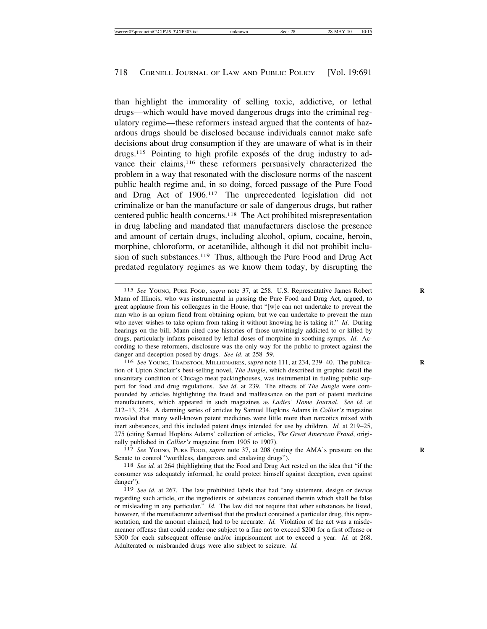than highlight the immorality of selling toxic, addictive, or lethal drugs—which would have moved dangerous drugs into the criminal regulatory regime—these reformers instead argued that the contents of hazardous drugs should be disclosed because individuals cannot make safe decisions about drug consumption if they are unaware of what is in their drugs.<sup>115</sup> Pointing to high profile exposés of the drug industry to advance their claims,<sup>116</sup> these reformers persuasively characterized the problem in a way that resonated with the disclosure norms of the nascent public health regime and, in so doing, forced passage of the Pure Food and Drug Act of 1906.<sup>117</sup> The unprecedented legislation did not criminalize or ban the manufacture or sale of dangerous drugs, but rather centered public health concerns.118 The Act prohibited misrepresentation in drug labeling and mandated that manufacturers disclose the presence and amount of certain drugs, including alcohol, opium, cocaine, heroin, morphine, chloroform, or acetanilide, although it did not prohibit inclusion of such substances.<sup>119</sup> Thus, although the Pure Food and Drug Act predated regulatory regimes as we know them today, by disrupting the

116 *See* YOUNG, TOADSTOOL MILLIONAIRES, *supra* note 111, at 234, 239–40. The publica- **R** tion of Upton Sinclair's best-selling novel, *The Jungle*, which described in graphic detail the unsanitary condition of Chicago meat packinghouses, was instrumental in fueling public support for food and drug regulations. *See id*. at 239. The effects of *The Jungle* were compounded by articles highlighting the fraud and malfeasance on the part of patent medicine manufacturers, which appeared in such magazines as *Ladies' Home Journal*. *See id*. at 212–13, 234. A damning series of articles by Samuel Hopkins Adams in *Collier's* magazine revealed that many well-known patent medicines were little more than narcotics mixed with inert substances, and this included patent drugs intended for use by children. *Id.* at 219–25, 275 (citing Samuel Hopkins Adams' collection of articles, *The Great American Fraud*, origi-

nally published in *Collier's* magazine from 1905 to 1907).<br><sup>117</sup> *See* Young, Pure Foop, *supra* note 37, at 208 (noting the AMA's pressure on the Senate to control "worthless, dangerous and enslaving drugs").

118 *See id.* at 264 (highlighting that the Food and Drug Act rested on the idea that "if the consumer was adequately informed, he could protect himself against deception, even against danger").

<sup>115</sup> *See* YOUNG, PURE FOOD, *supra* note 37, at 258. U.S. Representative James Robert **R** Mann of Illinois, who was instrumental in passing the Pure Food and Drug Act, argued, to great applause from his colleagues in the House, that "[w]e can not undertake to prevent the man who is an opium fiend from obtaining opium, but we can undertake to prevent the man who never wishes to take opium from taking it without knowing he is taking it." *Id*. During hearings on the bill, Mann cited case histories of those unwittingly addicted to or killed by drugs, particularly infants poisoned by lethal doses of morphine in soothing syrups. *Id*. According to these reformers, disclosure was the only way for the public to protect against the danger and deception posed by drugs. *See id*. at 258–59.

<sup>119</sup> *See id.* at 267. The law prohibited labels that had "any statement, design or device regarding such article, or the ingredients or substances contained therein which shall be false or misleading in any particular." *Id.* The law did not require that other substances be listed, however, if the manufacturer advertised that the product contained a particular drug, this representation, and the amount claimed, had to be accurate. *Id.* Violation of the act was a misdemeanor offense that could render one subject to a fine not to exceed \$200 for a first offense or \$300 for each subsequent offense and/or imprisonment not to exceed a year. *Id.* at 268. Adulterated or misbranded drugs were also subject to seizure. *Id.*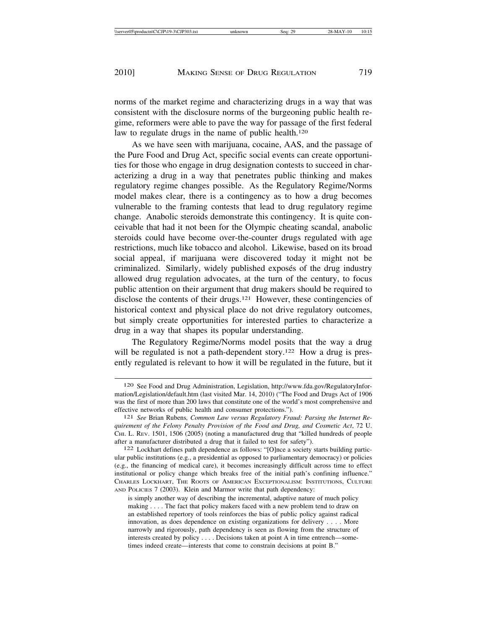norms of the market regime and characterizing drugs in a way that was consistent with the disclosure norms of the burgeoning public health regime, reformers were able to pave the way for passage of the first federal law to regulate drugs in the name of public health.<sup>120</sup>

As we have seen with marijuana, cocaine, AAS, and the passage of the Pure Food and Drug Act, specific social events can create opportunities for those who engage in drug designation contests to succeed in characterizing a drug in a way that penetrates public thinking and makes regulatory regime changes possible. As the Regulatory Regime/Norms model makes clear, there is a contingency as to how a drug becomes vulnerable to the framing contests that lead to drug regulatory regime change. Anabolic steroids demonstrate this contingency. It is quite conceivable that had it not been for the Olympic cheating scandal, anabolic steroids could have become over-the-counter drugs regulated with age restrictions, much like tobacco and alcohol. Likewise, based on its broad social appeal, if marijuana were discovered today it might not be criminalized. Similarly, widely published exposés of the drug industry allowed drug regulation advocates, at the turn of the century, to focus public attention on their argument that drug makers should be required to disclose the contents of their drugs.<sup>121</sup> However, these contingencies of historical context and physical place do not drive regulatory outcomes, but simply create opportunities for interested parties to characterize a drug in a way that shapes its popular understanding.

The Regulatory Regime/Norms model posits that the way a drug will be regulated is not a path-dependent story.<sup>122</sup> How a drug is presently regulated is relevant to how it will be regulated in the future, but it

is simply another way of describing the incremental, adaptive nature of much policy making . . . . The fact that policy makers faced with a new problem tend to draw on an established repertory of tools reinforces the bias of public policy against radical innovation, as does dependence on existing organizations for delivery . . . . More narrowly and rigorously, path dependency is seen as flowing from the structure of interests created by policy . . . . Decisions taken at point A in time entrench—sometimes indeed create—interests that come to constrain decisions at point B."

<sup>120</sup> See Food and Drug Administration, Legislation, http://www.fda.gov/RegulatoryInformation/Legislation/default.htm (last visited Mar. 14, 2010) ("The Food and Drugs Act of 1906 was the first of more than 200 laws that constitute one of the world's most comprehensive and effective networks of public health and consumer protections."). <sup>121</sup> *See* Brian Rubens*, Common Law versus Regulatory Fraud: Parsing the Internet Re-*

*quirement of the Felony Penalty Provision of the Food and Drug, and Cosmetic Act*, 72 U. CHI. L. REV. 1501, 1506 (2005) (noting a manufactured drug that "killed hundreds of people after a manufacturer distributed a drug that it failed to test for safety").<br><sup>122</sup> Lockhart defines path dependence as follows: "[O]nce a society starts building partic-

ular public institutions (e.g., a presidential as opposed to parliamentary democracy) or policies (e.g., the financing of medical care), it becomes increasingly difficult across time to effect institutional or policy change which breaks free of the initial path's confining influence." CHARLES LOCKHART, THE ROOTS OF AMERICAN EXCEPTIONALISM: INSTITUTIONS, CULTURE AND POLICIES 7 (2003). Klein and Marmor write that path dependency: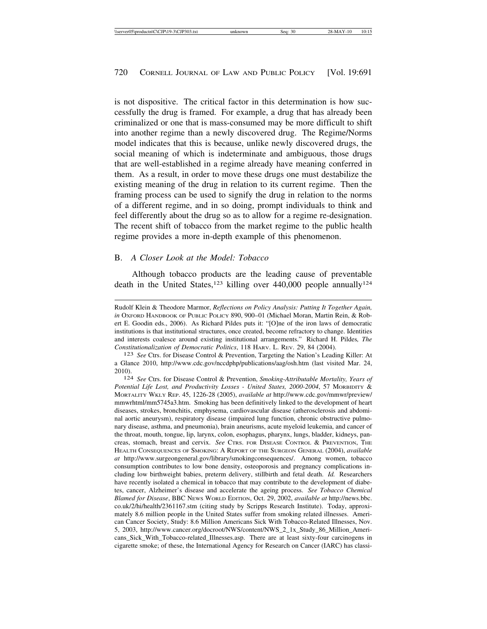is not dispositive. The critical factor in this determination is how successfully the drug is framed. For example, a drug that has already been criminalized or one that is mass-consumed may be more difficult to shift into another regime than a newly discovered drug. The Regime/Norms model indicates that this is because, unlike newly discovered drugs, the social meaning of which is indeterminate and ambiguous, those drugs that are well-established in a regime already have meaning conferred in them. As a result, in order to move these drugs one must destabilize the existing meaning of the drug in relation to its current regime. Then the framing process can be used to signify the drug in relation to the norms of a different regime, and in so doing, prompt individuals to think and feel differently about the drug so as to allow for a regime re-designation. The recent shift of tobacco from the market regime to the public health regime provides a more in-depth example of this phenomenon.

## B. *A Closer Look at the Model: Tobacco*

Although tobacco products are the leading cause of preventable death in the United States,<sup>123</sup> killing over 440,000 people annually<sup>124</sup>

Rudolf Klein & Theodore Marmor, *Reflections on Policy Analysis: Putting It Together Again, in* OXFORD HANDBOOK OF PUBLIC POLICY 890, 900–01 (Michael Moran, Martin Rein, & Robert E. Goodin eds., 2006). As Richard Pildes puts it: "[O]ne of the iron laws of democratic institutions is that institutional structures, once created, become refractory to change. Identities and interests coalesce around existing institutional arrangements." Richard H. Pildes*, The*

<sup>123</sup> *See* Ctrs. for Disease Control & Prevention, Targeting the Nation's Leading Killer: At a Glance 2010, http://www.cdc.gov/nccdphp/publications/aag/osh.htm (last visited Mar. 24, 2010). <sup>124</sup> *See* Ctrs. for Disease Control & Prevention, *Smoking-Attributable Mortality, Years of*

*Potential Life Lost, and Productivity Losses - United States, 2000-2004*, 57 MORBIDITY & MORTALITY WKLY REP. 45, 1226-28 (2005), *available at* http://www.cdc.gov/mmwr/preview/ mmwrhtml/mm5745a3.htm. Smoking has been definitively linked to the development of heart diseases, strokes, bronchitis, emphysema, cardiovascular disease (atherosclerosis and abdominal aortic aneurysm), respiratory disease (impaired lung function, chronic obstructive pulmonary disease, asthma, and pneumonia), brain aneurisms, acute myeloid leukemia, and cancer of the throat, mouth, tongue, lip, larynx, colon, esophagus, pharynx, lungs, bladder, kidneys, pancreas, stomach, breast and cervix. *See* CTRS. FOR DISEASE CONTROL & PREVENTION, THE HEALTH CONSEQUENCES OF SMOKING: A REPORT OF THE SURGEON GENERAL (2004), *available at* http://www.surgeongeneral.gov/library/smokingconsequences/. Among women, tobacco consumption contributes to low bone density, osteoporosis and pregnancy complications including low birthweight babies, preterm delivery, stillbirth and fetal death. *Id.* Researchers have recently isolated a chemical in tobacco that may contribute to the development of diabetes, cancer, Alzheimer's disease and accelerate the ageing process. *See Tobacco Chemical Blamed for Disease*, BBC NEWS WORLD EDITION, Oct. 29, 2002, *available at* http://news.bbc. co.uk/2/hi/health/2361167.stm (citing study by Scripps Research Institute). Today, approximately 8.6 million people in the United States suffer from smoking related illnesses. American Cancer Society, Study: 8.6 Million Americans Sick With Tobacco-Related Illnesses, Nov. 5, 2003, http://www.cancer.org/docroot/NWS/content/NWS\_2\_1x\_Study\_86\_Million\_Americans\_Sick\_With\_Tobacco-related\_Illnesses.asp. There are at least sixty-four carcinogens in cigarette smoke; of these, the International Agency for Research on Cancer (IARC) has classi-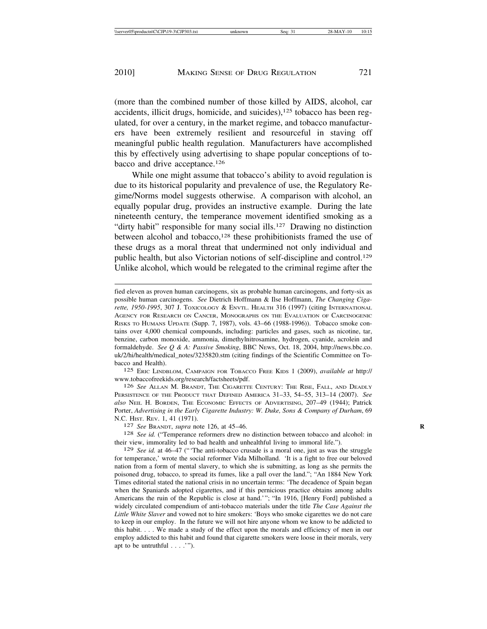(more than the combined number of those killed by AIDS, alcohol, car accidents, illicit drugs, homicide, and suicides),<sup>125</sup> tobacco has been regulated, for over a century, in the market regime, and tobacco manufacturers have been extremely resilient and resourceful in staving off meaningful public health regulation. Manufacturers have accomplished this by effectively using advertising to shape popular conceptions of tobacco and drive acceptance.<sup>126</sup>

While one might assume that tobacco's ability to avoid regulation is due to its historical popularity and prevalence of use, the Regulatory Regime/Norms model suggests otherwise. A comparison with alcohol, an equally popular drug, provides an instructive example. During the late nineteenth century, the temperance movement identified smoking as a "dirty habit" responsible for many social ills.<sup>127</sup> Drawing no distinction between alcohol and tobacco,<sup>128</sup> these prohibitionists framed the use of these drugs as a moral threat that undermined not only individual and public health, but also Victorian notions of self-discipline and control.129 Unlike alcohol, which would be relegated to the criminal regime after the

fied eleven as proven human carcinogens, six as probable human carcinogens, and forty-six as possible human carcinogens. *See* Dietrich Hoffmann & Ilse Hoffmann, *The Changing Cigarette, 1950-1995*, 307 J. TOXICOLOGY & ENVTL. HEALTH 316 (1997) (citing INTERNATIONAL AGENCY FOR RESEARCH ON CANCER, MONOGRAPHS ON THE EVALUATION OF CARCINOGENIC RISKS TO HUMANS UPDATE (Supp. 7, 1987), vols. 43–66 (1988-1996)). Tobacco smoke contains over 4,000 chemical compounds, including: particles and gases, such as nicotine, tar, benzine, carbon monoxide, ammonia, dimethylnitrosamine, hydrogen, cyanide, acrolein and formaldehyde. *See Q & A: Passive Smoking*, BBC NEWS, Oct. 18, 2004, http://news.bbc.co. uk/2/hi/health/medical\_notes/3235820.stm (citing findings of the Scientific Committee on Tobacco and Health).

125 ERIC LINDBLOM, CAMPAIGN FOR TOBACCO FREE KIDS 1 (2009), *available at* http:// www.tobaccofreekids.org/research/factsheets/pdf.

126 *See* ALLAN M. BRANDT, THE CIGARETTE CENTURY: THE RISE, FALL, AND DEADLY PERSISTENCE OF THE PRODUCT THAT DEFINED AMERICA 31–33, 54–55, 313–14 (2007). *See also* NEIL H. BORDEN, THE ECONOMIC EFFECTS OF ADVERTISING, 207–49 (1944); Patrick Porter, *Advertising in the Early Cigarette Industry: W. Duke, Sons & Company of Durham*, 69 N.C. HIST. REV. 1, 41 (1971). <sup>127</sup> *See* BRANDT, *supra* note 126, at 45–46. **<sup>R</sup>**

128 *See id.* ("Temperance reformers drew no distinction between tobacco and alcohol: in their view, immorality led to bad health and unhealthful living to immoral life.").

129 *See id.* at 46–47 ("'The anti-tobacco crusade is a moral one, just as was the struggle for temperance,' wrote the social reformer Vida Milholland. 'It is a fight to free our beloved nation from a form of mental slavery, to which she is submitting, as long as she permits the poisoned drug, tobacco, to spread its fumes, like a pall over the land."; "An 1884 New York Times editorial stated the national crisis in no uncertain terms: 'The decadence of Spain began when the Spaniards adopted cigarettes, and if this pernicious practice obtains among adults Americans the ruin of the Republic is close at hand.'"; "In 1916, [Henry Ford] published a widely circulated compendium of anti-tobacco materials under the title *The Case Against the Little White Slaver* and vowed not to hire smokers: 'Boys who smoke cigarettes we do not care to keep in our employ. In the future we will not hire anyone whom we know to be addicted to this habit. . . . We made a study of the effect upon the morals and efficiency of men in our employ addicted to this habit and found that cigarette smokers were loose in their morals, very apt to be untruthful . . . .'").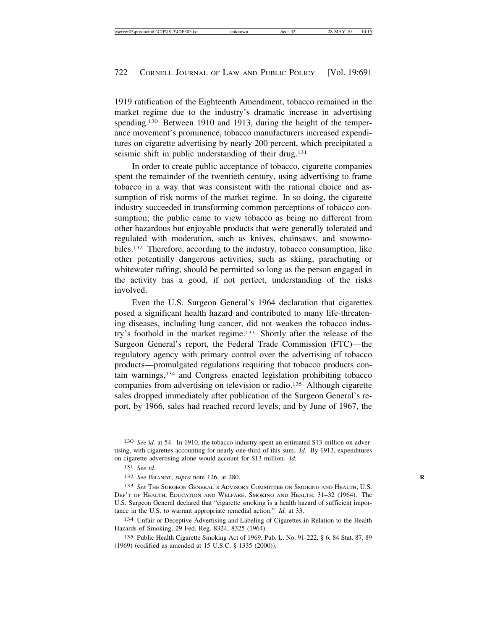1919 ratification of the Eighteenth Amendment, tobacco remained in the market regime due to the industry's dramatic increase in advertising spending.<sup>130</sup> Between 1910 and 1913, during the height of the temperance movement's prominence, tobacco manufacturers increased expenditures on cigarette advertising by nearly 200 percent, which precipitated a seismic shift in public understanding of their drug.<sup>131</sup>

In order to create public acceptance of tobacco, cigarette companies spent the remainder of the twentieth century, using advertising to frame tobacco in a way that was consistent with the rational choice and assumption of risk norms of the market regime. In so doing, the cigarette industry succeeded in transforming common perceptions of tobacco consumption; the public came to view tobacco as being no different from other hazardous but enjoyable products that were generally tolerated and regulated with moderation, such as knives, chainsaws, and snowmobiles.132 Therefore, according to the industry, tobacco consumption, like other potentially dangerous activities, such as skiing, parachuting or whitewater rafting, should be permitted so long as the person engaged in the activity has a good, if not perfect, understanding of the risks involved.

Even the U.S. Surgeon General's 1964 declaration that cigarettes posed a significant health hazard and contributed to many life-threatening diseases, including lung cancer, did not weaken the tobacco industry's foothold in the market regime.133 Shortly after the release of the Surgeon General's report, the Federal Trade Commission (FTC)—the regulatory agency with primary control over the advertising of tobacco products—promulgated regulations requiring that tobacco products contain warnings,134 and Congress enacted legislation prohibiting tobacco companies from advertising on television or radio.135 Although cigarette sales dropped immediately after publication of the Surgeon General's report, by 1966, sales had reached record levels, and by June of 1967, the

<sup>130</sup> *See id.* at 54. In 1910, the tobacco industry spent an estimated \$13 million on advertising, with cigarettes accounting for nearly one-third of this sum. *Id.* By 1913, expenditures on cigarette advertising alone would account for \$13 million. *Id.*

<sup>131</sup> *See id.*

<sup>132</sup> *See* BRANDT, *supra* note 126, at 280. **R**

<sup>133</sup> *See* THE SURGEON GENERAL'S ADVISORY COMMITTEE ON SMOKING AND HEALTH, U.S. DEP'T OF HEALTH, EDUCATION AND WELFARE, SMOKING AND HEALTH, 31–32 (1964). The U.S. Surgeon General declared that "cigarette smoking is a health hazard of sufficient importance in the U.S. to warrant appropriate remedial action." *Id.* at 33.

<sup>134</sup> Unfair or Deceptive Advertising and Labeling of Cigarettes in Relation to the Health Hazards of Smoking, 29 Fed. Reg. 8324, 8325 (1964).

<sup>135</sup> Public Health Cigarette Smoking Act of 1969, Pub. L. No. 91-222, § 6, 84 Stat. 87, 89 (1969) (codified as amended at 15 U.S.C. § 1335 (2000)).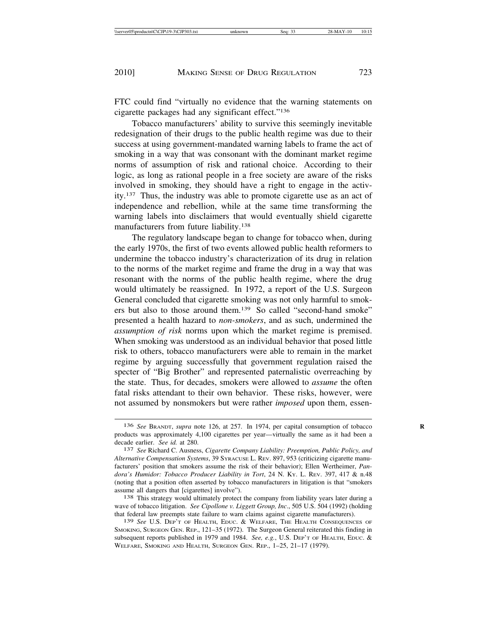FTC could find "virtually no evidence that the warning statements on cigarette packages had any significant effect."136

Tobacco manufacturers' ability to survive this seemingly inevitable redesignation of their drugs to the public health regime was due to their success at using government-mandated warning labels to frame the act of smoking in a way that was consonant with the dominant market regime norms of assumption of risk and rational choice. According to their logic, as long as rational people in a free society are aware of the risks involved in smoking, they should have a right to engage in the activity.137 Thus, the industry was able to promote cigarette use as an act of independence and rebellion, while at the same time transforming the warning labels into disclaimers that would eventually shield cigarette manufacturers from future liability.138

The regulatory landscape began to change for tobacco when, during the early 1970s, the first of two events allowed public health reformers to undermine the tobacco industry's characterization of its drug in relation to the norms of the market regime and frame the drug in a way that was resonant with the norms of the public health regime, where the drug would ultimately be reassigned. In 1972, a report of the U.S. Surgeon General concluded that cigarette smoking was not only harmful to smokers but also to those around them.139 So called "second-hand smoke" presented a health hazard to *non-smokers*, and as such, undermined the *assumption of risk* norms upon which the market regime is premised. When smoking was understood as an individual behavior that posed little risk to others, tobacco manufacturers were able to remain in the market regime by arguing successfully that government regulation raised the specter of "Big Brother" and represented paternalistic overreaching by the state. Thus, for decades, smokers were allowed to *assume* the often fatal risks attendant to their own behavior. These risks, however, were not assumed by nonsmokers but were rather *imposed* upon them, essen-

wave of tobacco litigation. *See Cipollone v. Liggett Group, Inc*., 505 U.S. 504 (1992) (holding that federal law preempts state failure to warn claims against cigarette manufacturers).

139 *See* U.S. DEP'T OF HEALTH, EDUC. & WELFARE, THE HEALTH CONSEQUENCES OF SMOKING, SURGEON GEN. REP., 121–35 (1972). The Surgeon General reiterated this finding in subsequent reports published in 1979 and 1984. *See, e.g.*, U.S. DEP'T OF HEALTH, EDUC. & WELFARE, SMOKING AND HEALTH, SURGEON GEN. REP., 1–25, 21–17 (1979).

<sup>136</sup> *See* BRANDT, *supra* note 126, at 257. In 1974, per capital consumption of tobacco **R** products was approximately 4,100 cigarettes per year—virtually the same as it had been a decade earlier. *See id.* at 280. <sup>137</sup> *See* Richard C. Ausness, *Cigarette Company Liability: Preemption, Public Policy, and*

*Alternative Compensation Systems*, 39 SYRACUSE L. REV. 897, 953 (criticizing cigarette manufacturers' position that smokers assume the risk of their behavior); Ellen Wertheimer, *Pandora's Humidor: Tobacco Producer Liability in Tort*, 24 N. KY. L. REV. 397, 417 & n.48 (noting that a position often asserted by tobacco manufacturers in litigation is that "smokers assume all dangers that [cigarettes] involve").<br>
<sup>138</sup> This strategy would ultimately protect the company from liability years later during a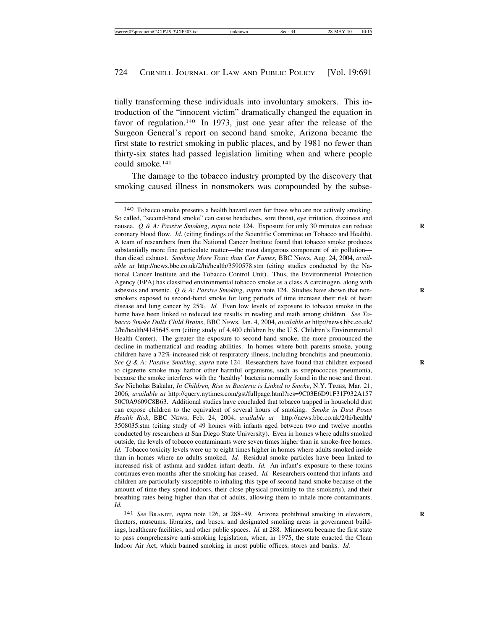tially transforming these individuals into involuntary smokers. This introduction of the "innocent victim" dramatically changed the equation in favor of regulation.<sup>140</sup> In 1973, just one year after the release of the Surgeon General's report on second hand smoke, Arizona became the first state to restrict smoking in public places, and by 1981 no fewer than thirty-six states had passed legislation limiting when and where people could smoke.141

The damage to the tobacco industry prompted by the discovery that smoking caused illness in nonsmokers was compounded by the subse-

141 *See* BRANDT, *supra* note 126, at 288–89. Arizona prohibited smoking in elevators, **R** theaters, museums, libraries, and buses, and designated smoking areas in government buildings, healthcare facilities, and other public spaces. *Id.* at 288. Minnesota became the first state to pass comprehensive anti-smoking legislation, when, in 1975, the state enacted the Clean Indoor Air Act, which banned smoking in most public offices, stores and banks. *Id.*

<sup>140</sup> Tobacco smoke presents a health hazard even for those who are not actively smoking. So called, "second-hand smoke" can cause headaches, sore throat, eye irritation, dizziness and nausea. *Q & A: Passive Smoking*, *supra* note 124. Exposure for only 30 minutes can reduce **R** coronary blood flow. *Id*. (citing findings of the Scientific Committee on Tobacco and Health). A team of researchers from the National Cancer Institute found that tobacco smoke produces substantially more fine particulate matter—the most dangerous component of air pollution than diesel exhaust. *Smoking More Toxic than Car Fumes*, BBC NEWS, Aug. 24, 2004, *available at* http://news.bbc.co.uk/2/hi/health/3590578.stm (citing studies conducted by the National Cancer Institute and the Tobacco Control Unit). Thus, the Environmental Protection Agency (EPA) has classified environmental tobacco smoke as a class A carcinogen, along with asbestos and arsenic. *Q & A: Passive Smoking*, *supra* note 124. Studies have shown that nonsmokers exposed to second-hand smoke for long periods of time increase their risk of heart disease and lung cancer by 25%. *Id.* Even low levels of exposure to tobacco smoke in the home have been linked to reduced test results in reading and math among children. *See Tobacco Smoke Dulls Child Brains*, BBC NEWS, Jan. 4, 2004, *available at* http://news.bbc.co.uk/ 2/hi/health/4145645.stm (citing study of 4,400 children by the U.S. Children's Environmental Health Center). The greater the exposure to second-hand smoke, the more pronounced the decline in mathematical and reading abilities. In homes where both parents smoke, young children have a 72% increased risk of respiratory illness, including bronchitis and pneumonia. *See Q & A: Passive Smoking*, *supra* note 124. Researchers have found that children exposed **R** to cigarette smoke may harbor other harmful organisms, such as streptococcus pneumonia, because the smoke interferes with the 'healthy' bacteria normally found in the nose and throat. *See* Nicholas Bakalar, *In Children, Rise in Bacteria is Linked to Smoke*, N.Y. TIMES*,* Mar. 21, 2006, *available at* http://query.nytimes.com/gst/fullpage.html?res=9C03E6D91F31F932A157 50C0A9609C8B63. Additional studies have concluded that tobacco trapped in household dust can expose children to the equivalent of several hours of smoking. *Smoke in Dust Poses Health Risk*, BBC NEWS, Feb. 24, 2004, *available at* http://news.bbc.co.uk/2/hi/health/ 3508035.stm (citing study of 49 homes with infants aged between two and twelve months conducted by researchers at San Diego State University). Even in homes where adults smoked outside, the levels of tobacco contaminants were seven times higher than in smoke-free homes. *Id.* Tobacco toxicity levels were up to eight times higher in homes where adults smoked inside than in homes where no adults smoked. *Id.* Residual smoke particles have been linked to increased risk of asthma and sudden infant death. *Id.* An infant's exposure to these toxins continues even months after the smoking has ceased. *Id.* Researchers contend that infants and children are particularly susceptible to inhaling this type of second-hand smoke because of the amount of time they spend indoors, their close physical proximity to the smoker(s), and their breathing rates being higher than that of adults, allowing them to inhale more contaminants. *Id.*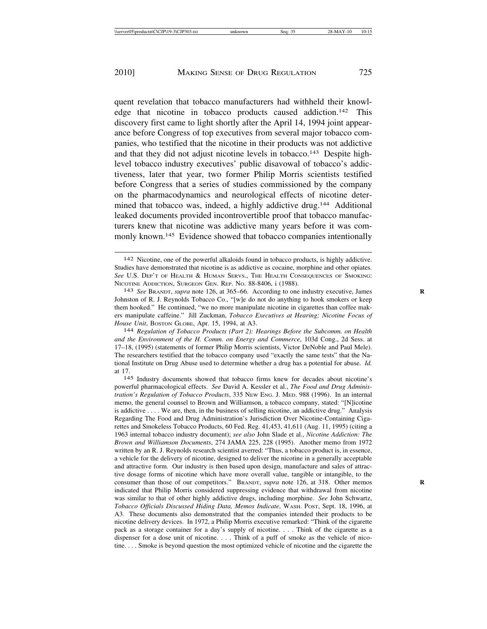quent revelation that tobacco manufacturers had withheld their knowledge that nicotine in tobacco products caused addiction.142 This discovery first came to light shortly after the April 14, 1994 joint appearance before Congress of top executives from several major tobacco companies, who testified that the nicotine in their products was not addictive and that they did not adjust nicotine levels in tobacco.143 Despite highlevel tobacco industry executives' public disavowal of tobacco's addictiveness, later that year, two former Philip Morris scientists testified before Congress that a series of studies commissioned by the company on the pharmacodynamics and neurological effects of nicotine determined that tobacco was, indeed, a highly addictive drug.<sup>144</sup> Additional leaked documents provided incontrovertible proof that tobacco manufacturers knew that nicotine was addictive many years before it was commonly known.<sup>145</sup> Evidence showed that tobacco companies intentionally

144 Regulation of Tobacco Products (Part 2): Hearings Before the Subcomm. on Health *and the Environment of the H. Comm. on Energy and Commerce*, 103d Cong., 2d Sess. at 17–18, (1995) (statements of former Philip Morris scientists, Victor DeNoble and Paul Mele). The researchers testified that the tobacco company used "exactly the same tests" that the National Institute on Drug Abuse used to determine whether a drug has a potential for abuse. *Id.* at 17.

145 Industry documents showed that tobacco firms knew for decades about nicotine's powerful pharmacological effects. *See* David A. Kessler et al., *The Food and Drug Administration's Regulation of Tobacco Products*, 335 NEW ENG. J. MED. 988 (1996). In an internal memo, the general counsel to Brown and Williamson, a tobacco company, stated: "[N]icotine is addictive . . . . We are, then, in the business of selling nicotine, an addictive drug." Analysis Regarding The Food and Drug Administration's Jurisdiction Over Nicotine-Containing Cigarettes and Smokeless Tobacco Products, 60 Fed. Reg. 41,453, 41,611 (Aug. 11, 1995) (citing a 1963 internal tobacco industry document); *see also* John Slade et al., *Nicotine Addiction: The Brown and Williamson Documents*, 274 JAMA 225, 228 (1995). Another memo from 1972 written by an R. J. Reynolds research scientist averred: "Thus, a tobacco product is, in essence, a vehicle for the delivery of nicotine, designed to deliver the nicotine in a generally acceptable and attractive form. Our industry is then based upon design, manufacture and sales of attractive dosage forms of nicotine which have more overall value, tangible or intangible, to the consumer than those of our competitors." BRANDT, *supra* note 126, at 318. Other memos indicated that Philip Morris considered suppressing evidence that withdrawal from nicotine was similar to that of other highly addictive drugs, including morphine. *See* John Schwartz, *Tobacco Officials Discussed Hiding Data, Memos Indicate*, WASH. POST, Sept. 18, 1996, at A3. These documents also demonstrated that the companies intended their products to be nicotine delivery devices. In 1972, a Philip Morris executive remarked: "Think of the cigarette pack as a storage container for a day's supply of nicotine. . . . Think of the cigarette as a dispenser for a dose unit of nicotine. . . . Think of a puff of smoke as the vehicle of nicotine. . . . Smoke is beyond question the most optimized vehicle of nicotine and the cigarette the

<sup>142</sup> Nicotine, one of the powerful alkaloids found in tobacco products, is highly addictive. Studies have demonstrated that nicotine is as addictive as cocaine, morphine and other opiates. *See* U.S. DEP'T OF HEALTH & HUMAN SERVS., THE HEALTH CONSEQUENCES OF SMOKING:

<sup>143</sup> *See* BRANDT, *supra* note 126, at 365–66. According to one industry executive, James Johnston of R. J. Reynolds Tobacco Co., "[w]e do not do anything to hook smokers or keep them hooked." He continued, "we no more manipulate nicotine in cigarettes than coffee makers manipulate caffeine." Jill Zuckman, *Tobacco Executives at Hearing; Nicotine Focus of*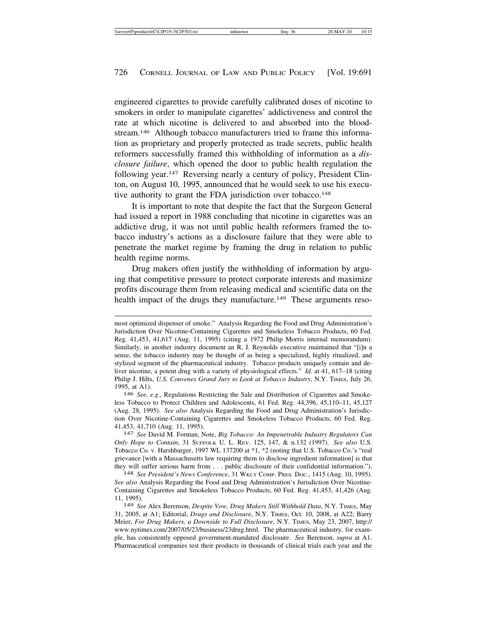engineered cigarettes to provide carefully calibrated doses of nicotine to smokers in order to manipulate cigarettes' addictiveness and control the rate at which nicotine is delivered to and absorbed into the bloodstream.146 Although tobacco manufacturers tried to frame this information as proprietary and properly protected as trade secrets, public health reformers successfully framed this withholding of information as a *disclosure failure*, which opened the door to public health regulation the following year.147 Reversing nearly a century of policy, President Clinton, on August 10, 1995, announced that he would seek to use his executive authority to grant the FDA jurisdiction over tobacco.<sup>148</sup>

It is important to note that despite the fact that the Surgeon General had issued a report in 1988 concluding that nicotine in cigarettes was an addictive drug, it was not until public health reformers framed the tobacco industry's actions as a disclosure failure that they were able to penetrate the market regime by framing the drug in relation to public health regime norms.

Drug makers often justify the withholding of information by arguing that competitive pressure to protect corporate interests and maximize profits discourage them from releasing medical and scientific data on the health impact of the drugs they manufacture.<sup>149</sup> These arguments reso-

146 *See, e.g*., Regulations Restricting the Sale and Distribution of Cigarettes and Smokeless Tobacco to Protect Children and Adolescents, 61 Fed. Reg. 44,396, 45,110–11, 45,127 (Aug. 28, 1995). *See also* Analysis Regarding the Food and Drug Administration's Jurisdiction Over Nicotine-Containing Cigarettes and Smokeless Tobacco Products, 60 Fed. Reg. 41,453, 41,710 (Aug. 11, 1995). <sup>147</sup> *See* David M. Forman, Note, *Big Tobacco: An Impenetrable Industry Regulators Can*

*Only Hope to Contain*, 31 SUFFOLK U. L. REV. 125, 147, & n.132 (1997). *See also* U.S. Tobacco Co. v. Harshbarger, 1997 WL 137200 at \*1, \*2 (noting that U.S. Tobacco Co.'s "real grievance [with a Massachusetts law requiring them to disclose ingredient information] is that they will suffer serious harm from . . . public disclosure of their confidential information."). <sup>148</sup> *See President's News Conference*, 31 WKLY COMP. PRES*.* DOC., 1415 (Aug. 10, 1995).

*See also* Analysis Regarding the Food and Drug Administration's Jurisdiction Over Nicotine-Containing Cigarettes and Smokeless Tobacco Products, 60 Fed. Reg. 41,453, 41,426 (Aug. 11, 1995).

149 *See* Alex Berenson, *Despite Vow, Drug Makers Still Withhold Data*, N.Y. TIMES, May 31, 2005, at A1; Editorial, *Drugs and Disclosure*, N.Y. TIMES, Oct. 10, 2008, at A22; Barry Meier, *For Drug Makers, a Downside to Full Disclosure*, N.Y. TIMES, May 23, 2007, http:// www.nytimes.com/2007/05/23/business/23drug.html. The pharmaceutical industry, for example, has consistently opposed government-mandated disclosure. *See* Berenson, *supra* at A1. Pharmaceutical companies test their products in thousands of clinical trials each year and the

most optimized dispenser of smoke." Analysis Regarding the Food and Drug Administration's Jurisdiction Over Nicotine-Containing Cigarettes and Smokeless Tobacco Products, 60 Fed. Reg. 41,453, 41,617 (Aug. 11, 1995) (citing a 1972 Philip Morris internal memorandum). Similarly, in another industry document an R. J. Reynolds executive maintained that "[i]n a sense, the tobacco industry may be thought of as being a specialized, highly ritualized, and stylized segment of the pharmaceutical industry. Tobacco products uniquely contain and deliver nicotine, a potent drug with a variety of physiological effects." *Id.* at 41, 617–18 (citing Philip J. Hilts, *U.S. Convenes Grand Jury to Look at Tobacco Industry*, N.Y. TIMES, July 26, 1995, at A1).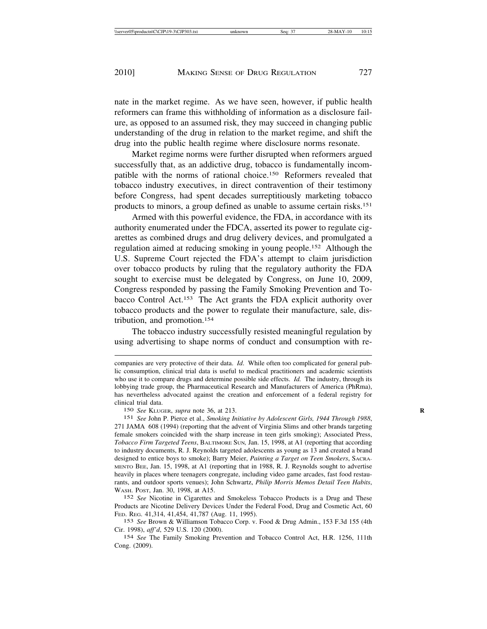nate in the market regime. As we have seen, however, if public health reformers can frame this withholding of information as a disclosure failure, as opposed to an assumed risk, they may succeed in changing public understanding of the drug in relation to the market regime, and shift the drug into the public health regime where disclosure norms resonate.

Market regime norms were further disrupted when reformers argued successfully that, as an addictive drug, tobacco is fundamentally incompatible with the norms of rational choice.150 Reformers revealed that tobacco industry executives, in direct contravention of their testimony before Congress, had spent decades surreptitiously marketing tobacco products to minors, a group defined as unable to assume certain risks.151

Armed with this powerful evidence, the FDA, in accordance with its authority enumerated under the FDCA, asserted its power to regulate cigarettes as combined drugs and drug delivery devices, and promulgated a regulation aimed at reducing smoking in young people.152 Although the U.S. Supreme Court rejected the FDA's attempt to claim jurisdiction over tobacco products by ruling that the regulatory authority the FDA sought to exercise must be delegated by Congress, on June 10, 2009, Congress responded by passing the Family Smoking Prevention and Tobacco Control Act.153 The Act grants the FDA explicit authority over tobacco products and the power to regulate their manufacture, sale, distribution, and promotion.154

The tobacco industry successfully resisted meaningful regulation by using advertising to shape norms of conduct and consumption with re-

150 *See* KLUGER, *supra* note 36, at 213. **R**

151 *See* John P. Pierce et al., *Smoking Initiative by Adolescent Girls, 1944 Through 1988*, 271 JAMA 608 (1994) (reporting that the advent of Virginia Slims and other brands targeting female smokers coincided with the sharp increase in teen girls smoking); Associated Press, *Tobacco Firm Targeted Teens*, BALTIMORE SUN*,* Jan. 15, 1998, at A1 (reporting that according to industry documents, R. J. Reynolds targeted adolescents as young as 13 and created a brand designed to entice boys to smoke); Barry Meier, *Painting a Target on Teen Smokers*, SACRA-MENTO BEE, Jan. 15, 1998, at A1 (reporting that in 1988, R. J. Reynolds sought to advertise heavily in places where teenagers congregate, including video game arcades, fast food restaurants, and outdoor sports venues); John Schwartz, *Philip Morris Memos Detail Teen Habits*, WASH. POST, Jan. 30, 1998, at A15.

152 *See* Nicotine in Cigarettes and Smokeless Tobacco Products is a Drug and These Products are Nicotine Delivery Devices Under the Federal Food, Drug and Cosmetic Act, 60 FED. REG. 41,314, 41,454, 41,787 (Aug. 11, 1995).

153 *See* Brown & Williamson Tobacco Corp. v. Food & Drug Admin., 153 F.3d 155 (4th Cir. 1998), *aff'd*, 529 U.S. 120 (2000).

154 *See* The Family Smoking Prevention and Tobacco Control Act, H.R. 1256, 111th Cong. (2009).

companies are very protective of their data. *Id*. While often too complicated for general public consumption, clinical trial data is useful to medical practitioners and academic scientists who use it to compare drugs and determine possible side effects. *Id.* The industry, through its lobbying trade group, the Pharmaceutical Research and Manufacturers of America (PhRma), has nevertheless advocated against the creation and enforcement of a federal registry for clinical trial data.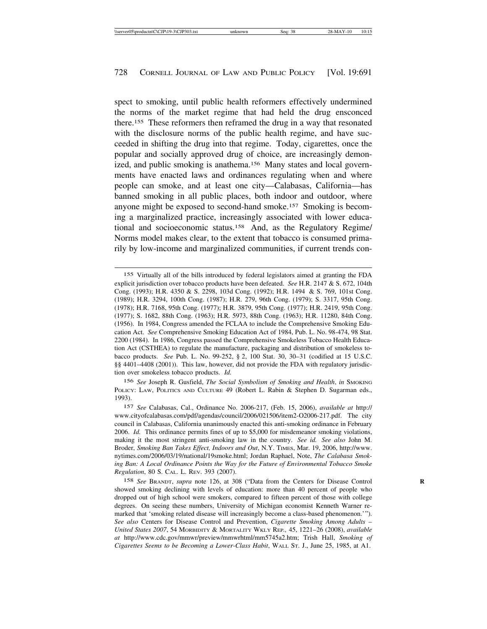spect to smoking, until public health reformers effectively undermined the norms of the market regime that had held the drug ensconced there.155 These reformers then reframed the drug in a way that resonated with the disclosure norms of the public health regime, and have succeeded in shifting the drug into that regime. Today, cigarettes, once the popular and socially approved drug of choice, are increasingly demonized, and public smoking is anathema.156 Many states and local governments have enacted laws and ordinances regulating when and where people can smoke, and at least one city—Calabasas, California—has banned smoking in all public places, both indoor and outdoor, where anyone might be exposed to second-hand smoke.157 Smoking is becoming a marginalized practice, increasingly associated with lower educational and socioeconomic status.158 And, as the Regulatory Regime/ Norms model makes clear, to the extent that tobacco is consumed primarily by low-income and marginalized communities, if current trends con-

156 *See* Joseph R. Gusfield, *The Social Symbolism of Smoking and Health*, *in* Smoking POLICY: LAW, POLITICS AND CULTURE 49 (Robert L. Rabin & Stephen D. Sugarman eds., 1993).

157 *See* Calabasas, Cal., Ordinance No. 2006-217, (Feb. 15, 2006), *available at* http:// www.cityofcalabasas.com/pdf/agendas/council/2006/021506/item2-O2006-217.pdf. The city council in Calabasas, California unanimously enacted this anti-smoking ordinance in February 2006. *Id.* This ordinance permits fines of up to \$5,000 for misdemeanor smoking violations, making it the most stringent anti-smoking law in the country. *See id. See also* John M. Broder, *Smoking Ban Takes Effect, Indoors and Out*, N.Y. TIMES, Mar. 19, 2006, http://www. nytimes.com/2006/03/19/national/19smoke.html; Jordan Raphael, Note, *The Calabasa Smoking Ban: A Local Ordinance Points the Way for the Future of Environmental Tobacco Smoke Regulation*, 80 S. CAL. L. REV. 393 (2007).

158 *See* BRANDT, *supra* note 126, at 308 ("Data from the Centers for Disease Control **R** showed smoking declining with levels of education: more than 40 percent of people who dropped out of high school were smokers, compared to fifteen percent of those with college degrees. On seeing these numbers, University of Michigan economist Kenneth Warner remarked that 'smoking related disease will increasingly become a class-based phenomenon.'"). *See also* Centers for Disease Control and Prevention, *Cigarette Smoking Among Adults – United States 2007*, 54 MORBIDITY & MORTALITY WKLY REP*.,* 45, 1221–26 (2008), *available at* http://www.cdc.gov/mmwr/preview/mmwrhtml/mm5745a2.htm; Trish Hall, *Smoking of Cigarettes Seems to be Becoming a Lower-Class Habit*, WALL ST. J., June 25, 1985, at A1.

<sup>155</sup> Virtually all of the bills introduced by federal legislators aimed at granting the FDA explicit jurisdiction over tobacco products have been defeated. *See* H.R. 2147 & S. 672, 104th Cong. (1993); H.R. 4350 & S. 2298, 103d Cong. (1992); H.R. 1494 & S. 769, 101st Cong. (1989); H.R. 3294, 100th Cong. (1987); H.R. 279, 96th Cong. (1979); S. 3317, 95th Cong. (1978); H.R. 7168, 95th Cong. (1977); H.R. 3879, 95th Cong. (1977); H.R. 2419, 95th Cong. (1977); S. 1682, 88th Cong. (1963); H.R. 5973, 88th Cong. (1963); H.R. 11280, 84th Cong. (1956). In 1984, Congress amended the FCLAA to include the Comprehensive Smoking Education Act. *See* Comprehensive Smoking Education Act of 1984, Pub. L. No. 98-474, 98 Stat. 2200 (1984). In 1986, Congress passed the Comprehensive Smokeless Tobacco Health Education Act (CSTHEA) to regulate the manufacture, packaging and distribution of smokeless tobacco products. *See* Pub. L. No. 99-252, § 2, 100 Stat. 30, 30–31 (codified at 15 U.S.C. §§ 4401–4408 (2001)). This law, however, did not provide the FDA with regulatory jurisdiction over smokeless tobacco products. *Id.*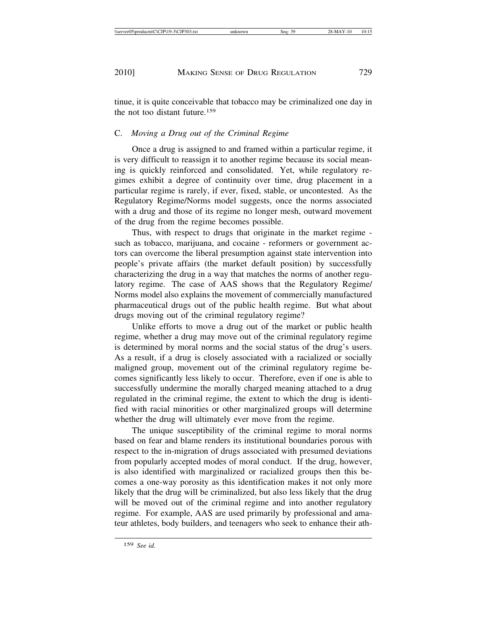tinue, it is quite conceivable that tobacco may be criminalized one day in the not too distant future.159

## C. *Moving a Drug out of the Criminal Regime*

Once a drug is assigned to and framed within a particular regime, it is very difficult to reassign it to another regime because its social meaning is quickly reinforced and consolidated. Yet, while regulatory regimes exhibit a degree of continuity over time, drug placement in a particular regime is rarely, if ever, fixed, stable, or uncontested. As the Regulatory Regime/Norms model suggests, once the norms associated with a drug and those of its regime no longer mesh, outward movement of the drug from the regime becomes possible.

Thus, with respect to drugs that originate in the market regime such as tobacco, marijuana, and cocaine - reformers or government actors can overcome the liberal presumption against state intervention into people's private affairs (the market default position) by successfully characterizing the drug in a way that matches the norms of another regulatory regime. The case of AAS shows that the Regulatory Regime/ Norms model also explains the movement of commercially manufactured pharmaceutical drugs out of the public health regime. But what about drugs moving out of the criminal regulatory regime?

Unlike efforts to move a drug out of the market or public health regime, whether a drug may move out of the criminal regulatory regime is determined by moral norms and the social status of the drug's users. As a result, if a drug is closely associated with a racialized or socially maligned group, movement out of the criminal regulatory regime becomes significantly less likely to occur. Therefore, even if one is able to successfully undermine the morally charged meaning attached to a drug regulated in the criminal regime, the extent to which the drug is identified with racial minorities or other marginalized groups will determine whether the drug will ultimately ever move from the regime.

The unique susceptibility of the criminal regime to moral norms based on fear and blame renders its institutional boundaries porous with respect to the in-migration of drugs associated with presumed deviations from popularly accepted modes of moral conduct. If the drug, however, is also identified with marginalized or racialized groups then this becomes a one-way porosity as this identification makes it not only more likely that the drug will be criminalized, but also less likely that the drug will be moved out of the criminal regime and into another regulatory regime. For example, AAS are used primarily by professional and amateur athletes, body builders, and teenagers who seek to enhance their ath-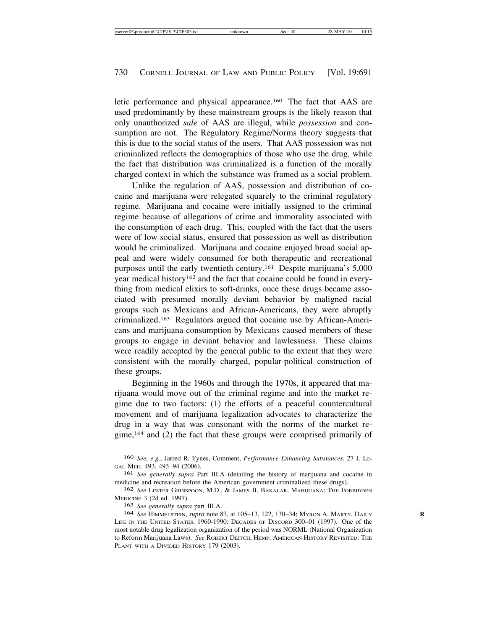letic performance and physical appearance.160 The fact that AAS are used predominantly by these mainstream groups is the likely reason that only unauthorized *sale* of AAS are illegal, while *possession* and consumption are not. The Regulatory Regime/Norms theory suggests that this is due to the social status of the users. That AAS possession was not criminalized reflects the demographics of those who use the drug, while the fact that distribution was criminalized is a function of the morally charged context in which the substance was framed as a social problem.

Unlike the regulation of AAS, possession and distribution of cocaine and marijuana were relegated squarely to the criminal regulatory regime. Marijuana and cocaine were initially assigned to the criminal regime because of allegations of crime and immorality associated with the consumption of each drug. This, coupled with the fact that the users were of low social status, ensured that possession as well as distribution would be criminalized. Marijuana and cocaine enjoyed broad social appeal and were widely consumed for both therapeutic and recreational purposes until the early twentieth century.161 Despite marijuana's 5,000 year medical history162 and the fact that cocaine could be found in everything from medical elixirs to soft-drinks, once these drugs became associated with presumed morally deviant behavior by maligned racial groups such as Mexicans and African-Americans, they were abruptly criminalized.163 Regulators argued that cocaine use by African-Americans and marijuana consumption by Mexicans caused members of these groups to engage in deviant behavior and lawlessness. These claims were readily accepted by the general public to the extent that they were consistent with the morally charged, popular-political construction of these groups.

Beginning in the 1960s and through the 1970s, it appeared that marijuana would move out of the criminal regime and into the market regime due to two factors: (1) the efforts of a peaceful countercultural movement and of marijuana legalization advocates to characterize the drug in a way that was consonant with the norms of the market regime,164 and (2) the fact that these groups were comprised primarily of

<sup>160</sup> *See, e.g*., Jarred R. Tynes, Comment, *Performance Enhancing Substances*, 27 J. LE-GAL MED. 493, 493–94 (2006).

<sup>161</sup> *See generally supra* Part III.A (detailing the history of marijuana and cocaine in medicine and recreation before the American government criminalized these drugs).

<sup>162</sup> *See* LESTER GRINSPOON, M.D., & JAMES B. BAKALAR, MARIJUANA: THE FORBIDDEN MEDICINE 3 (2d ed. 1997).

<sup>163</sup> *See generally supra* part III.A.

<sup>164</sup> *See* HIMMELSTEIN, *supra* note 87, at 105–13, 122, 130–34; MYRON A. MARTY, DAILY **R** LIFE IN THE UNITED STATES, 1960-1990: DECADES OF DISCORD 300–01 (1997). One of the most notable drug legalization organization of the period was NORML (National Organization to Reform Marijuana Laws). *See* ROBERT DEITCH, HEMP: AMERICAN HISTORY REVISITED: THE PLANT WITH A DIVIDED HISTORY 179 (2003).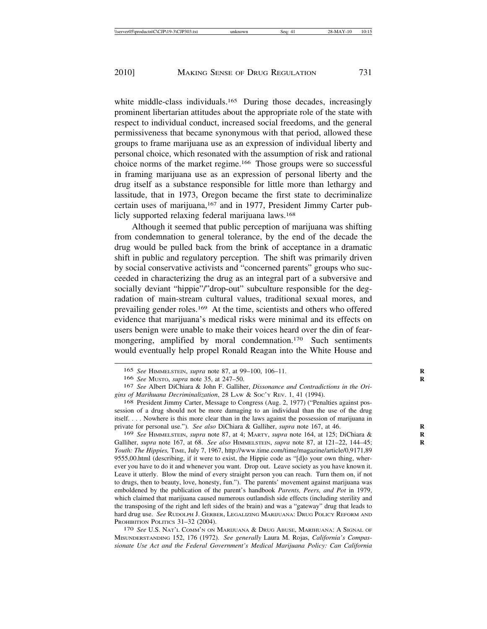white middle-class individuals.<sup>165</sup> During those decades, increasingly prominent libertarian attitudes about the appropriate role of the state with respect to individual conduct, increased social freedoms, and the general permissiveness that became synonymous with that period, allowed these groups to frame marijuana use as an expression of individual liberty and personal choice, which resonated with the assumption of risk and rational choice norms of the market regime.166 Those groups were so successful in framing marijuana use as an expression of personal liberty and the drug itself as a substance responsible for little more than lethargy and lassitude, that in 1973, Oregon became the first state to decriminalize certain uses of marijuana,167 and in 1977, President Jimmy Carter publicly supported relaxing federal marijuana laws.168

Although it seemed that public perception of marijuana was shifting from condemnation to general tolerance, by the end of the decade the drug would be pulled back from the brink of acceptance in a dramatic shift in public and regulatory perception. The shift was primarily driven by social conservative activists and "concerned parents" groups who succeeded in characterizing the drug as an integral part of a subversive and socially deviant "hippie"/"drop-out" subculture responsible for the degradation of main-stream cultural values, traditional sexual mores, and prevailing gender roles.169 At the time, scientists and others who offered evidence that marijuana's medical risks were minimal and its effects on users benign were unable to make their voices heard over the din of fearmongering, amplified by moral condemnation.170 Such sentiments would eventually help propel Ronald Reagan into the White House and

169 *See* HIMMELSTEIN, *supra* note 87, at 4; MARTY, *supra* note 164, at 125; DiChiara & **R** Galliher, *supra* note 167, at 68. *See also* HIMMELSTEIN, *supra* note 87, at 121–22, 144–45; **R** *Youth: The Hippies,* TIME, July 7, 1967, http://www.time.com/time/magazine/article/0,9171,89 9555,00.html (describing, if it were to exist, the Hippie code as "[d]o your own thing, wherever you have to do it and whenever you want. Drop out. Leave society as you have known it. Leave it utterly. Blow the mind of every straight person you can reach. Turn them on, if not to drugs, then to beauty, love, honesty, fun."). The parents' movement against marijuana was emboldened by the publication of the parent's handbook *Parents, Peers, and Pot* in 1979, which claimed that marijuana caused numerous outlandish side effects (including sterility and the transposing of the right and left sides of the brain) and was a "gateway" drug that leads to hard drug use. *See* RUDOLPH J. GERBER, LEGALIZING MARIJUANA: DRUG POLICY REFORM AND PROHIBITION POLITICS 31–32 (2004). <sup>170</sup> *See* U.S. NAT'L COMM'N ON MARIJUANA & DRUG ABUSE, MARIHUANA: A SIGNAL OF

MISUNDERSTANDING 152, 176 (1972). *See generally* Laura M. Rojas, *California's Compassionate Use Act and the Federal Government's Medical Marijuana Policy: Can California*

<sup>165</sup> *See* HIMMELSTEIN, *supra* note 87, at 99–100, 106–11. **R**

<sup>166</sup> *See* MUSTO, *supra* note 35, at 247–50. **R**

<sup>167</sup> *See* Albert DiChiara & John F. Galliher, *Dissonance and Contradictions in the Origins of Marihuana Decriminalization*, 28 LAW & SOC'Y REV. 1, 41 (1994).

<sup>168</sup> President Jimmy Carter, Message to Congress (Aug. 2, 1977) ("Penalties against possession of a drug should not be more damaging to an individual than the use of the drug itself. . . . Nowhere is this more clear than in the laws against the possession of marijuana in private for personal use."). *See also* DiChiara & Galliher, *supra* note 167, at 46. **R**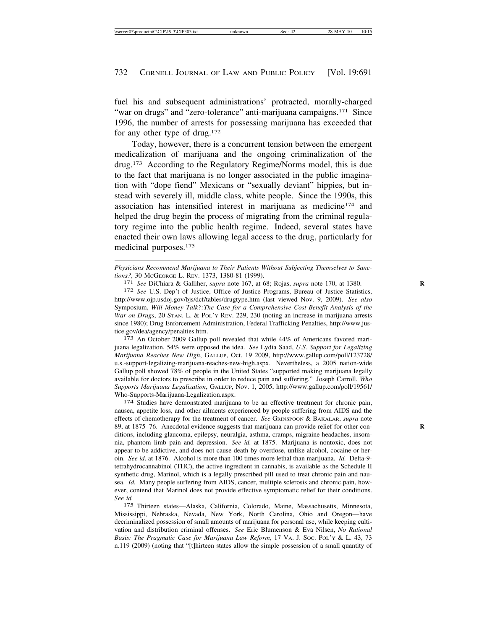fuel his and subsequent administrations' protracted, morally-charged "war on drugs" and "zero-tolerance" anti-marijuana campaigns.<sup>171</sup> Since 1996, the number of arrests for possessing marijuana has exceeded that for any other type of drug.172

Today, however, there is a concurrent tension between the emergent medicalization of marijuana and the ongoing criminalization of the drug.173 According to the Regulatory Regime/Norms model, this is due to the fact that marijuana is no longer associated in the public imagination with "dope fiend" Mexicans or "sexually deviant" hippies, but instead with severely ill, middle class, white people. Since the 1990s, this association has intensified interest in marijuana as medicine174 and helped the drug begin the process of migrating from the criminal regulatory regime into the public health regime. Indeed, several states have enacted their own laws allowing legal access to the drug, particularly for medicinal purposes.175

*Physicians Recommend Marijuana to Their Patients Without Subjecting Themselves to Sanc-*

*tions the DiChiara & Galliher, <i>supra* note 167, at 68; Rojas, *supra* note 170, at 1380.

172 *See* U.S. Dep't of Justice, Office of Justice Programs, Bureau of Justice Statistics, http://www.ojp.usdoj.gov/bjs/dcf/tables/drugtype.htm (last viewed Nov. 9, 2009). *See also* Symposium, *Will Money Talk?:The Case for a Comprehensive Cost-Benefit Analysis of the War on Drugs*, 20 STAN. L. & POL'Y REV. 229, 230 (noting an increase in marijuana arrests since 1980); Drug Enforcement Administration, Federal Trafficking Penalties, http://www.jus-<br>tice.gov/dea/agency/penalties.htm.

173 An October 2009 Gallup poll revealed that while 44% of Americans favored marijuana legalization, 54% were opposed the idea. *See* Lydia Saad, *U.S. Support for Legalizing Marijuana Reaches New High*, GALLUP, Oct. 19 2009, http://www.gallup.com/poll/123728/ u.s.-support-legalizing-marijuana-reaches-new-high.aspx. Nevertheless, a 2005 nation-wide Gallup poll showed 78% of people in the United States "supported making marijuana legally available for doctors to prescribe in order to reduce pain and suffering." Joseph Carroll, *Who Supports Marijuana Legalization*, GALLUP, Nov. 1, 2005, http://www.gallup.com/poll/19561/

Who-Supports-Marijuana-Legalization.aspx.<br>174 Studies have demonstrated marijuana to be an effective treatment for chronic pain, nausea, appetite loss, and other ailments experienced by people suffering from AIDS and the effects of chemotherapy for the treatment of cancer. *See* GRINSPOON & BAKALAR, *supra* note 89, at 1875–76. Anecdotal evidence suggests that marijuana can provide relief for other conditions, including glaucoma, epilepsy, neuralgia, asthma, cramps, migraine headaches, insomnia, phantom limb pain and depression. *See id.* at 1875. Marijuana is nontoxic, does not appear to be addictive, and does not cause death by overdose, unlike alcohol, cocaine or heroin. *See id*. at 1876. Alcohol is more than 100 times more lethal than marijuana. *Id.* Delta-9 tetrahydrocannabinol (THC), the active ingredient in cannabis, is available as the Schedule II synthetic drug, Marinol, which is a legally prescribed pill used to treat chronic pain and nausea. *Id.* Many people suffering from AIDS, cancer, multiple sclerosis and chronic pain, however, contend that Marinol does not provide effective symptomatic relief for their conditions. *See id.*

175 Thirteen states—Alaska, California, Colorado, Maine, Massachusetts, Minnesota, Mississippi, Nebraska, Nevada, New York, North Carolina, Ohio and Oregon—have decriminalized possession of small amounts of marijuana for personal use, while keeping cultivation and distribution criminal offenses. *See* Eric Blumenson & Eva Nilsen, *No Rational Basis: The Pragmatic Case for Marijuana Law Reform*, 17 VA. J. SOC. POL'Y & L. 43, 73 n.119 (2009) (noting that "[t]hirteen states allow the simple possession of a small quantity of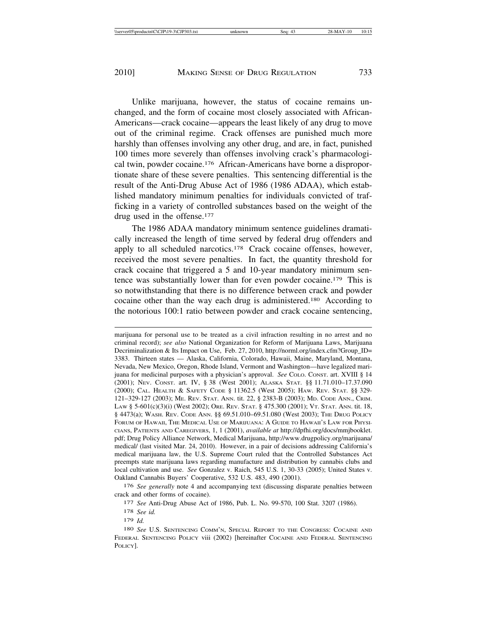Unlike marijuana, however, the status of cocaine remains unchanged, and the form of cocaine most closely associated with African-Americans—crack cocaine—appears the least likely of any drug to move out of the criminal regime. Crack offenses are punished much more harshly than offenses involving any other drug, and are, in fact, punished 100 times more severely than offenses involving crack's pharmacological twin, powder cocaine.176 African-Americans have borne a disproportionate share of these severe penalties. This sentencing differential is the result of the Anti-Drug Abuse Act of 1986 (1986 ADAA), which established mandatory minimum penalties for individuals convicted of trafficking in a variety of controlled substances based on the weight of the drug used in the offense.177

The 1986 ADAA mandatory minimum sentence guidelines dramatically increased the length of time served by federal drug offenders and apply to all scheduled narcotics.<sup>178</sup> Crack cocaine offenses, however, received the most severe penalties. In fact, the quantity threshold for crack cocaine that triggered a 5 and 10-year mandatory minimum sentence was substantially lower than for even powder cocaine.179 This is so notwithstanding that there is no difference between crack and powder cocaine other than the way each drug is administered.180 According to the notorious 100:1 ratio between powder and crack cocaine sentencing,

marijuana for personal use to be treated as a civil infraction resulting in no arrest and no criminal record); *see also* National Organization for Reform of Marijuana Laws, Marijuana Decriminalization & Its Impact on Use, Feb. 27, 2010, http://norml.org/index.cfm?Group\_ID= 3383. Thirteen states — Alaska, California, Colorado, Hawaii, Maine, Maryland, Montana, Nevada, New Mexico, Oregon, Rhode Island, Vermont and Washington—have legalized marijuana for medicinal purposes with a physician's approval. *See* COLO. CONST. art. XVIII § 14 (2001); NEV. CONST. art. IV, § 38 (West 2001); ALASKA STAT. §§ 11.71.010–17.37.090 (2000); CAL. HEALTH & SAFETY CODE § 11362.5 (West 2005); HAW. REV. STAT. §§ 329- 121–329-127 (2003); ME. REV. STAT. ANN. tit. 22, § 2383-B (2003); MD. CODE ANN., CRIM. LAW § 5-601(c)(3)(i) (West 2002); ORE. REV. STAT. § 475.300 (2001); VT. STAT. ANN. tit. 18, § 4473(a); WASH. REV. CODE ANN. §§ 69.51.010–69.51.080 (West 2003); THE DRUG POLICY FORUM OF HAWAII, THE MEDICAL USE OF MARIJUANA: A GUIDE TO HAWAII'S LAW FOR PHYSI-CIANS, PATIENTS AND CAREGIVERS, 1, 1 (2001), *available at* http://dpfhi.org/docs/mmjbooklet. pdf; Drug Policy Alliance Network, Medical Marijuana, http://www.drugpolicy.org/marijuana/ medical/ (last visited Mar. 24, 2010). However, in a pair of decisions addressing California's medical marijuana law, the U.S. Supreme Court ruled that the Controlled Substances Act preempts state marijuana laws regarding manufacture and distribution by cannabis clubs and local cultivation and use. *See* Gonzalez v. Raich, 545 U.S. 1, 30-33 (2005); United States v. Oakland Cannabis Buyers' Cooperative, 532 U.S. 483, 490 (2001).

176 *See generally* note 4 and accompanying text (discussing disparate penalties between crack and other forms of cocaine).

177 *See* Anti-Drug Abuse Act of 1986, Pub. L. No. 99-570, 100 Stat. 3207 (1986).

178 *See id.*

179 *Id.*

180 *See* U.S. SENTENCING COMM'N, SPECIAL REPORT TO THE CONGRESS: COCAINE AND FEDERAL SENTENCING POLICY viii (2002) [hereinafter COCAINE AND FEDERAL SENTENCING POLICY].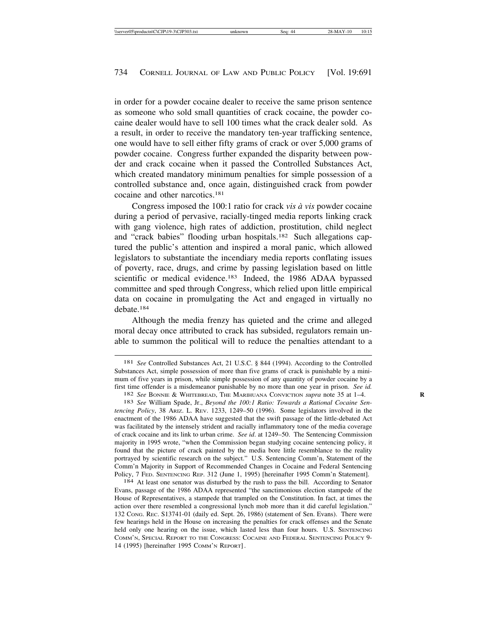in order for a powder cocaine dealer to receive the same prison sentence as someone who sold small quantities of crack cocaine, the powder cocaine dealer would have to sell 100 times what the crack dealer sold. As a result, in order to receive the mandatory ten-year trafficking sentence, one would have to sell either fifty grams of crack or over 5,000 grams of powder cocaine. Congress further expanded the disparity between powder and crack cocaine when it passed the Controlled Substances Act, which created mandatory minimum penalties for simple possession of a controlled substance and, once again, distinguished crack from powder cocaine and other narcotics.181

Congress imposed the 100:1 ratio for crack *vis à vis* powder cocaine during a period of pervasive, racially-tinged media reports linking crack with gang violence, high rates of addiction, prostitution, child neglect and "crack babies" flooding urban hospitals.182 Such allegations captured the public's attention and inspired a moral panic, which allowed legislators to substantiate the incendiary media reports conflating issues of poverty, race, drugs, and crime by passing legislation based on little scientific or medical evidence.<sup>183</sup> Indeed, the 1986 ADAA bypassed committee and sped through Congress, which relied upon little empirical data on cocaine in promulgating the Act and engaged in virtually no debate.184

Although the media frenzy has quieted and the crime and alleged moral decay once attributed to crack has subsided, regulators remain unable to summon the political will to reduce the penalties attendant to a

184 At least one senator was disturbed by the rush to pass the bill. According to Senator Evans, passage of the 1986 ADAA represented "the sanctimonious election stampede of the House of Representatives, a stampede that trampled on the Constitution. In fact, at times the action over there resembled a congressional lynch mob more than it did careful legislation." 132 CONG. REC. S13741-01 (daily ed. Sept. 26, 1986) (statement of Sen. Evans). There were few hearings held in the House on increasing the penalties for crack offenses and the Senate held only one hearing on the issue, which lasted less than four hours. U.S. SENTENCING COMM'N, SPECIAL REPORT TO THE CONGRESS: COCAINE AND FEDERAL SENTENCING POLICY 9- 14 (1995) [hereinafter 1995 COMM'N REPORT] .

<sup>181</sup> *See* Controlled Substances Act, 21 U.S.C. § 844 (1994). According to the Controlled Substances Act, simple possession of more than five grams of crack is punishable by a minimum of five years in prison, while simple possession of any quantity of powder cocaine by a first time offender is a misdemeanor punishable by no more than one year in prison. *See id.* <sup>182</sup> *See* BONNIE & WHITEBREAD, THE MARIHUANA CONVICTION *supra* note 35 at 1–4. **<sup>R</sup>**

<sup>183</sup> *See* William Spade, Jr., *Beyond the 100:1 Ratio: Towards a Rational Cocaine Sentencing Policy*, 38 ARIZ. L. REV. 1233, 1249–50 (1996). Some legislators involved in the enactment of the 1986 ADAA have suggested that the swift passage of the little-debated Act was facilitated by the intensely strident and racially inflammatory tone of the media coverage of crack cocaine and its link to urban crime. *See id*. at 1249–50. The Sentencing Commission majority in 1995 wrote, "when the Commission began studying cocaine sentencing policy, it found that the picture of crack painted by the media bore little resemblance to the reality portrayed by scientific research on the subject." U.S. Sentencing Comm'n, Statement of the Comm'n Majority in Support of Recommended Changes in Cocaine and Federal Sentencing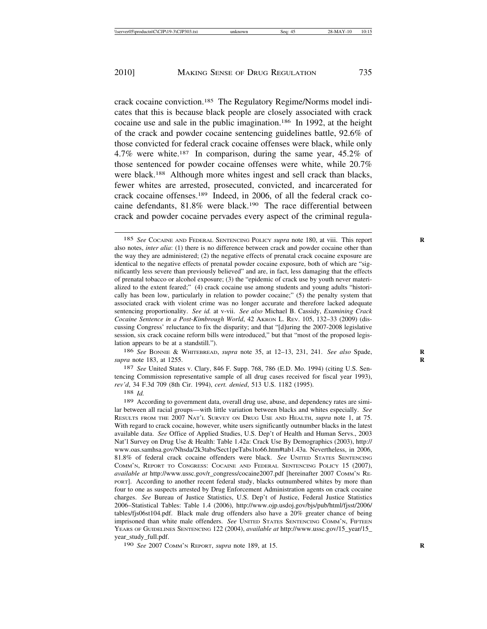crack cocaine conviction.185 The Regulatory Regime/Norms model indicates that this is because black people are closely associated with crack cocaine use and sale in the public imagination.186 In 1992, at the height of the crack and powder cocaine sentencing guidelines battle, 92.6% of those convicted for federal crack cocaine offenses were black, while only 4.7% were white.187 In comparison, during the same year, 45.2% of those sentenced for powder cocaine offenses were white, while 20.7% were black.<sup>188</sup> Although more whites ingest and sell crack than blacks, fewer whites are arrested, prosecuted, convicted, and incarcerated for crack cocaine offenses.189 Indeed, in 2006, of all the federal crack cocaine defendants, 81.8% were black.190 The race differential between crack and powder cocaine pervades every aspect of the criminal regula-

186 *See* BONNIE & WHITEBREAD, *supra* note 35, at 12–13, 231, 241. *See also* Spade, **R** *supra* note 183, at 1255. **R**

187 *See* United States v. Clary, 846 F. Supp. 768, 786 (E.D. Mo. 1994) (citing U.S. Sentencing Commission representative sample of all drug cases received for fiscal year 1993), *rev'd*, 34 F.3d 709 (8th Cir. 1994), *cert. denied*, 513 U.S. 1182 (1995).

188 *Id.*

189 According to government data, overall drug use, abuse, and dependency rates are similar between all racial groups—with little variation between blacks and whites especially. *See* RESULTS FROM THE 2007 NAT'L SURVEY ON DRUG USE AND HEALTH, *supra* note 1, at 75. With regard to crack cocaine, however, white users significantly outnumber blacks in the latest available data. *See* Office of Applied Studies, U.S. Dep't of Health and Human Servs., 2003 Nat'l Survey on Drug Use & Health: Table 1.42a: Crack Use By Demographics (2003), http:// www.oas.samhsa.gov/Nhsda/2k3tabs/Sect1peTabs1to66.htm#tab1.43a. Nevertheless, in 2006, 81.8% of federal crack cocaine offenders were black. *See* UNITED STATES SENTENCING COMM'N, REPORT TO CONGRESS: COCAINE AND FEDERAL SENTENCING POLICY 15 (2007), *available at* http://www.ussc.gov/r\_congress/cocaine2007.pdf [hereinafter 2007 COMM'N RE-PORT]. According to another recent federal study, blacks outnumbered whites by more than four to one as suspects arrested by Drug Enforcement Administration agents on crack cocaine charges. *See* Bureau of Justice Statistics, U.S. Dep't of Justice, Federal Justice Statistics 2006–Statistical Tables: Table 1.4 (2006), http://www.ojp.usdoj.gov/bjs/pub/html/fjsst/2006/ tables/fjs06st104.pdf. Black male drug offenders also have a 20% greater chance of being imprisoned than white male offenders. *See* UNITED STATES SENTENCING COMM'N, FIFTEEN YEARS OF GUIDELINES SENTENCING 122 (2004), *available at* http://www.ussc.gov/15\_year/15\_ year\_study\_full.pdf.

190 *See* 2007 COMM'N REPORT, *supra* note 189, at 15. **R**

<sup>185</sup> *See* COCAINE AND FEDERAL SENTENCING POLICY *supra* note 180, at viii. This report **R** also notes, *inter alia*: (1) there is no difference between crack and powder cocaine other than the way they are administered; (2) the negative effects of prenatal crack cocaine exposure are identical to the negative effects of prenatal powder cocaine exposure, both of which are "significantly less severe than previously believed" and are, in fact, less damaging that the effects of prenatal tobacco or alcohol exposure; (3) the "epidemic of crack use by youth never materialized to the extent feared;" (4) crack cocaine use among students and young adults "historically has been low, particularly in relation to powder cocaine;" (5) the penalty system that associated crack with violent crime was no longer accurate and therefore lacked adequate sentencing proportionality. *See id.* at v-vii. *See also* Michael B. Cassidy, *Examining Crack Cocaine Sentence in a Post-Kimbrough World*, 42 AKRON L. REV. 105, 132–33 (2009) (discussing Congress' reluctance to fix the disparity; and that "[d]uring the 2007-2008 legislative session, six crack cocaine reform bills were introduced," but that "most of the proposed legislation appears to be at a standstill.").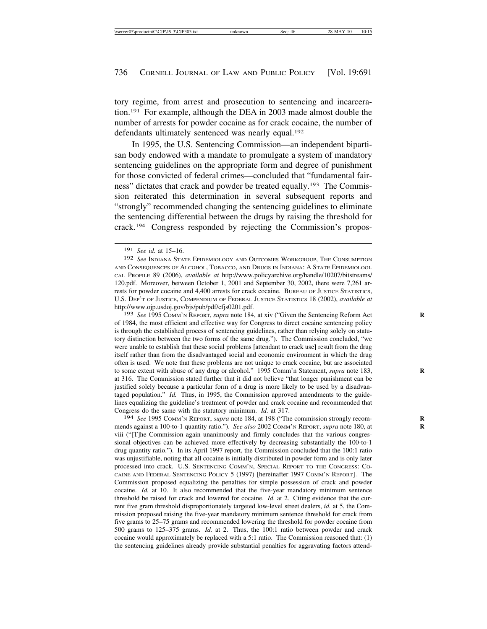tory regime, from arrest and prosecution to sentencing and incarceration.191 For example, although the DEA in 2003 made almost double the number of arrests for powder cocaine as for crack cocaine, the number of defendants ultimately sentenced was nearly equal.<sup>192</sup>

In 1995, the U.S. Sentencing Commission—an independent bipartisan body endowed with a mandate to promulgate a system of mandatory sentencing guidelines on the appropriate form and degree of punishment for those convicted of federal crimes—concluded that "fundamental fairness" dictates that crack and powder be treated equally.193 The Commission reiterated this determination in several subsequent reports and "strongly" recommended changing the sentencing guidelines to eliminate the sentencing differential between the drugs by raising the threshold for crack.194 Congress responded by rejecting the Commission's propos-

193 *See* 1995 COMM'N REPORT, *supra* note 184, at xiv ("Given the Sentencing Reform Act **R** of 1984, the most efficient and effective way for Congress to direct cocaine sentencing policy is through the established process of sentencing guidelines, rather than relying solely on statutory distinction between the two forms of the same drug."). The Commission concluded, "we were unable to establish that these social problems [attendant to crack use] result from the drug itself rather than from the disadvantaged social and economic environment in which the drug often is used. We note that these problems are not unique to crack cocaine, but are associated to some extent with abuse of any drug or alcohol." 1995 Comm'n Statement, *supra* note 183, at 316. The Commission stated further that it did not believe "that longer punishment can be justified solely because a particular form of a drug is more likely to be used by a disadvantaged population." *Id.* Thus, in 1995, the Commission approved amendments to the guidelines equalizing the guideline's treatment of powder and crack cocaine and recommended that Congress do the same with the statutory minimum. *Id.* at 317.

194 *See* 1995 COMM'N REPORT, *supra* note 184, at 198 ("The commission strongly recom- **R** mends against a 100-to-1 quantity ratio."). *See also* 2002 COMM'N REPORT, *supra* note 180, at viii ("[T]he Commission again unanimously and firmly concludes that the various congressional objectives can be achieved more effectively by decreasing substantially the 100-to-1 drug quantity ratio."). In its April 1997 report, the Commission concluded that the 100:1 ratio was unjustifiable, noting that all cocaine is initially distributed in powder form and is only later processed into crack. U.S. SENTENCING COMM'N, SPECIAL REPORT TO THE CONGRESS: CO-CAINE AND FEDERAL SENTENCING POLICY 5 (1997) [hereinafter 1997 COMM'N REPORT] . The Commission proposed equalizing the penalties for simple possession of crack and powder cocaine. *Id.* at 10. It also recommended that the five-year mandatory minimum sentence threshold be raised for crack and lowered for cocaine. *Id.* at 2. Citing evidence that the current five gram threshold disproportionately targeted low-level street dealers, *id.* at 5, the Commission proposed raising the five-year mandatory minimum sentence threshold for crack from five grams to 25–75 grams and recommended lowering the threshold for powder cocaine from 500 grams to 125–375 grams. *Id.* at 2. Thus, the 100:1 ratio between powder and crack cocaine would approximately be replaced with a 5:1 ratio. The Commission reasoned that: (1) the sentencing guidelines already provide substantial penalties for aggravating factors attend-

<sup>191</sup> *See id.* at 15–16.

<sup>192</sup> *See* INDIANA STATE EPIDEMIOLOGY AND OUTCOMES WORKGROUP, THE CONSUMPTION AND CONSEQUENCES OF ALCOHOL, TOBACCO, AND DRUGS IN INDIANA: A STATE EPIDEMIOLOGI-CAL PROFILE 89 (2006), *available at* http://www.policyarchive.org/handle/10207/bitstreams/ 120.pdf. Moreover, between October 1, 2001 and September 30, 2002, there were 7,261 arrests for powder cocaine and 4,400 arrests for crack cocaine. BUREAU OF JUSTICE STATISTICS, U.S. DEP'T OF JUSTICE, COMPENDIUM OF FEDERAL JUSTICE STATISTICS 18 (2002), *available at* http://www.ojp.usdoj.gov/bjs/pub/pdf/cfjs0201.pdf.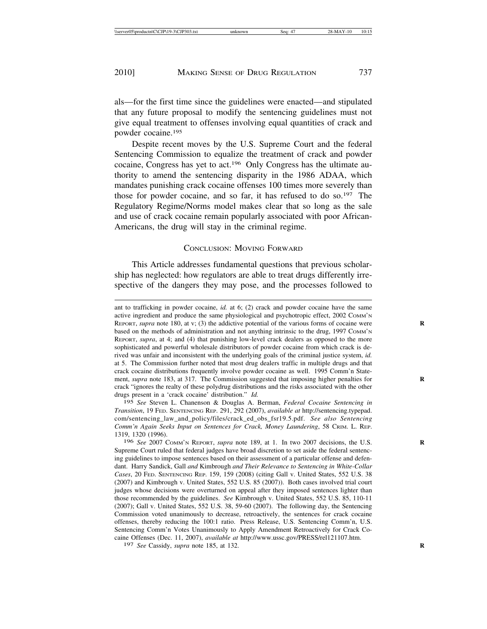als—for the first time since the guidelines were enacted—and stipulated that any future proposal to modify the sentencing guidelines must not give equal treatment to offenses involving equal quantities of crack and powder cocaine.195

Despite recent moves by the U.S. Supreme Court and the federal Sentencing Commission to equalize the treatment of crack and powder cocaine, Congress has yet to act.196 Only Congress has the ultimate authority to amend the sentencing disparity in the 1986 ADAA, which mandates punishing crack cocaine offenses 100 times more severely than those for powder cocaine, and so far, it has refused to do so.197 The Regulatory Regime/Norms model makes clear that so long as the sale and use of crack cocaine remain popularly associated with poor African-Americans, the drug will stay in the criminal regime.

## CONCLUSION: MOVING FORWARD

This Article addresses fundamental questions that previous scholarship has neglected: how regulators are able to treat drugs differently irrespective of the dangers they may pose, and the processes followed to

195 *See* Steven L. Chanenson & Douglas A. Berman, *Federal Cocaine Sentencing in Transition*, 19 FED. SENTENCING REP. 291, 292 (2007), *available at* http://sentencing.typepad. com/sentencing\_law\_and\_policy/files/crack\_ed\_obs\_fsr19.5.pdf. *See also Sentencing Comm'n Again Seeks Input on Sentences for Crack, Money Laundering*, 58 CRIM. L. REP. 1319, 1320 (1996).

196 *See* 2007 COMM'N REPORT, *supra* note 189, at 1. In two 2007 decisions, the U.S. **R** Supreme Court ruled that federal judges have broad discretion to set aside the federal sentencing guidelines to impose sentences based on their assessment of a particular offense and defendant. Harry Sandick, Gall *and* Kimbrough *and Their Relevance to Sentencing in White-Collar Cases*, 20 FED. SENTENCING REP. 159, 159 (2008) (citing Gall v. United States, 552 U.S. 38 (2007) and Kimbrough v. United States, 552 U.S. 85 (2007)). Both cases involved trial court judges whose decisions were overturned on appeal after they imposed sentences lighter than those recommended by the guidelines. *See* Kimbrough v. United States, 552 U.S. 85, 110-11 (2007); Gall v. United States, 552 U.S. 38, 59-60 (2007). The following day, the Sentencing Commission voted unanimously to decrease, retroactively, the sentences for crack cocaine offenses, thereby reducing the 100:1 ratio. Press Release, U.S. Sentencing Comm'n, U.S. Sentencing Comm'n Votes Unanimously to Apply Amendment Retroactively for Crack Cocaine Offenses (Dec. 11, 2007), *available at* http://www.ussc.gov/PRESS/rel121107.htm.

197 *See* Cassidy, *supra* note 185, at 132. **R**

ant to trafficking in powder cocaine, *id.* at 6; (2) crack and powder cocaine have the same active ingredient and produce the same physiological and psychotropic effect, 2002 COMM'N REPORT, *supra* note 180, at v; (3) the addictive potential of the various forms of cocaine were **R** based on the methods of administration and not anything intrinsic to the drug, 1997 COMM'N REPORT, *supra*, at 4; and (4) that punishing low-level crack dealers as opposed to the more sophisticated and powerful wholesale distributors of powder cocaine from which crack is derived was unfair and inconsistent with the underlying goals of the criminal justice system, *id.* at 5. The Commission further noted that most drug dealers traffic in multiple drugs and that crack cocaine distributions frequently involve powder cocaine as well. 1995 Comm'n Statement, *supra* note 183, at 317. The Commission suggested that imposing higher penalties for crack "ignores the realty of these polydrug distributions and the risks associated with the other drugs present in a 'crack cocaine' distribution." *Id.*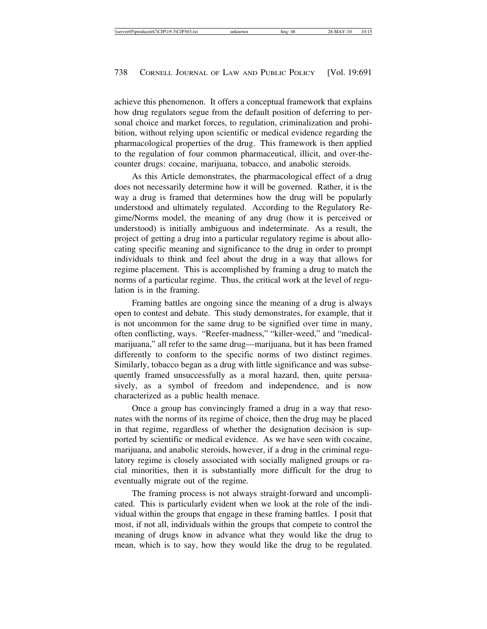achieve this phenomenon. It offers a conceptual framework that explains how drug regulators segue from the default position of deferring to personal choice and market forces, to regulation, criminalization and prohibition, without relying upon scientific or medical evidence regarding the pharmacological properties of the drug. This framework is then applied to the regulation of four common pharmaceutical, illicit, and over-thecounter drugs: cocaine, marijuana, tobacco, and anabolic steroids.

As this Article demonstrates, the pharmacological effect of a drug does not necessarily determine how it will be governed. Rather, it is the way a drug is framed that determines how the drug will be popularly understood and ultimately regulated. According to the Regulatory Regime/Norms model, the meaning of any drug (how it is perceived or understood) is initially ambiguous and indeterminate. As a result, the project of getting a drug into a particular regulatory regime is about allocating specific meaning and significance to the drug in order to prompt individuals to think and feel about the drug in a way that allows for regime placement. This is accomplished by framing a drug to match the norms of a particular regime. Thus, the critical work at the level of regulation is in the framing.

Framing battles are ongoing since the meaning of a drug is always open to contest and debate. This study demonstrates, for example, that it is not uncommon for the same drug to be signified over time in many, often conflicting, ways. "Reefer-madness," "killer-weed," and "medicalmarijuana," all refer to the same drug—marijuana, but it has been framed differently to conform to the specific norms of two distinct regimes. Similarly, tobacco began as a drug with little significance and was subsequently framed unsuccessfully as a moral hazard, then, quite persuasively, as a symbol of freedom and independence, and is now characterized as a public health menace.

Once a group has convincingly framed a drug in a way that resonates with the norms of its regime of choice, then the drug may be placed in that regime, regardless of whether the designation decision is supported by scientific or medical evidence. As we have seen with cocaine, marijuana, and anabolic steroids, however, if a drug in the criminal regulatory regime is closely associated with socially maligned groups or racial minorities, then it is substantially more difficult for the drug to eventually migrate out of the regime.

The framing process is not always straight-forward and uncomplicated. This is particularly evident when we look at the role of the individual within the groups that engage in these framing battles. I posit that most, if not all, individuals within the groups that compete to control the meaning of drugs know in advance what they would like the drug to mean, which is to say, how they would like the drug to be regulated.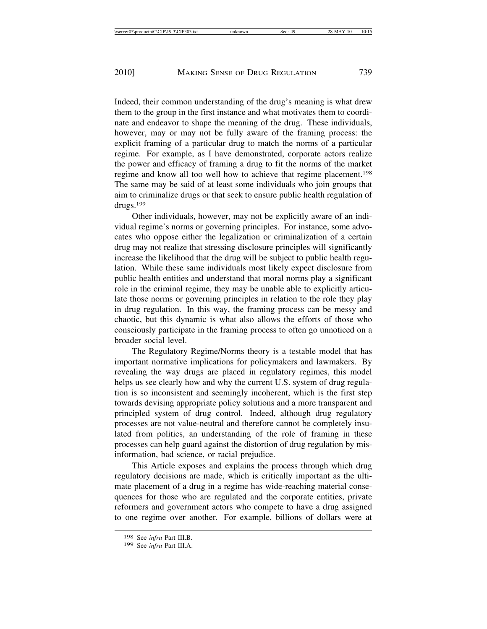Indeed, their common understanding of the drug's meaning is what drew them to the group in the first instance and what motivates them to coordinate and endeavor to shape the meaning of the drug. These individuals, however, may or may not be fully aware of the framing process: the explicit framing of a particular drug to match the norms of a particular regime. For example, as I have demonstrated, corporate actors realize the power and efficacy of framing a drug to fit the norms of the market regime and know all too well how to achieve that regime placement.198 The same may be said of at least some individuals who join groups that aim to criminalize drugs or that seek to ensure public health regulation of drugs.199

Other individuals, however, may not be explicitly aware of an individual regime's norms or governing principles. For instance, some advocates who oppose either the legalization or criminalization of a certain drug may not realize that stressing disclosure principles will significantly increase the likelihood that the drug will be subject to public health regulation. While these same individuals most likely expect disclosure from public health entities and understand that moral norms play a significant role in the criminal regime, they may be unable able to explicitly articulate those norms or governing principles in relation to the role they play in drug regulation. In this way, the framing process can be messy and chaotic, but this dynamic is what also allows the efforts of those who consciously participate in the framing process to often go unnoticed on a broader social level.

The Regulatory Regime/Norms theory is a testable model that has important normative implications for policymakers and lawmakers. By revealing the way drugs are placed in regulatory regimes, this model helps us see clearly how and why the current U.S. system of drug regulation is so inconsistent and seemingly incoherent, which is the first step towards devising appropriate policy solutions and a more transparent and principled system of drug control. Indeed, although drug regulatory processes are not value-neutral and therefore cannot be completely insulated from politics, an understanding of the role of framing in these processes can help guard against the distortion of drug regulation by misinformation, bad science, or racial prejudice.

This Article exposes and explains the process through which drug regulatory decisions are made, which is critically important as the ultimate placement of a drug in a regime has wide-reaching material consequences for those who are regulated and the corporate entities, private reformers and government actors who compete to have a drug assigned to one regime over another. For example, billions of dollars were at

<sup>198</sup> See *infra* Part III.B.

<sup>199</sup> See *infra* Part III.A.